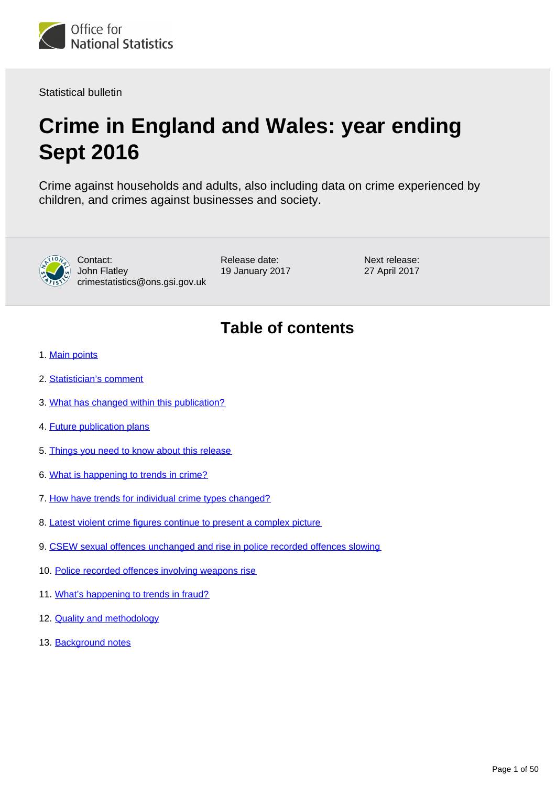

Statistical bulletin

# **Crime in England and Wales: year ending Sept 2016**

Crime against households and adults, also including data on crime experienced by children, and crimes against businesses and society.



Contact: John Flatley crimestatistics@ons.gsi.gov.uk Release date: 19 January 2017 Next release: 27 April 2017

## **Table of contents**

- 1. [Main points](#page-1-0)
- 2. [Statistician's comment](#page-1-1)
- 3. [What has changed within this publication?](#page-1-2)
- 4. [Future publication plans](#page-2-0)
- 5. [Things you need to know about this release](#page-3-0)
- 6. [What is happening to trends in crime?](#page-4-0)
- 7. [How have trends for individual crime types changed?](#page-7-0)
- 8. [Latest violent crime figures continue to present a complex picture](#page-22-0)
- 9. [CSEW sexual offences unchanged and rise in police recorded offences slowing](#page-29-0)
- 10. [Police recorded offences involving weapons rise](#page-32-0)
- 11. [What's happening to trends in fraud?](#page-38-0)
- 12. [Quality and methodology](#page-44-0)
- 13. Background notes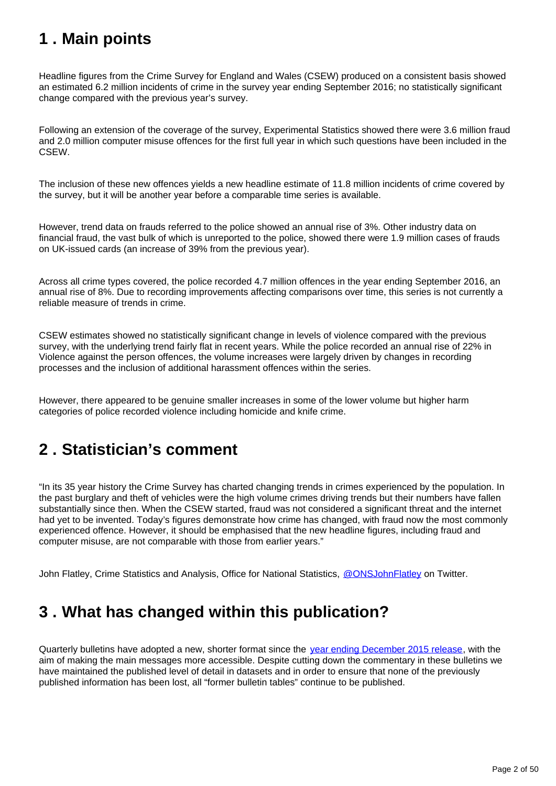## <span id="page-1-0"></span>**1 . Main points**

Headline figures from the Crime Survey for England and Wales (CSEW) produced on a consistent basis showed an estimated 6.2 million incidents of crime in the survey year ending September 2016; no statistically significant change compared with the previous year's survey.

Following an extension of the coverage of the survey, Experimental Statistics showed there were 3.6 million fraud and 2.0 million computer misuse offences for the first full year in which such questions have been included in the CSEW.

The inclusion of these new offences yields a new headline estimate of 11.8 million incidents of crime covered by the survey, but it will be another year before a comparable time series is available.

However, trend data on frauds referred to the police showed an annual rise of 3%. Other industry data on financial fraud, the vast bulk of which is unreported to the police, showed there were 1.9 million cases of frauds on UK-issued cards (an increase of 39% from the previous year).

Across all crime types covered, the police recorded 4.7 million offences in the year ending September 2016, an annual rise of 8%. Due to recording improvements affecting comparisons over time, this series is not currently a reliable measure of trends in crime.

CSEW estimates showed no statistically significant change in levels of violence compared with the previous survey, with the underlying trend fairly flat in recent years. While the police recorded an annual rise of 22% in Violence against the person offences, the volume increases were largely driven by changes in recording processes and the inclusion of additional harassment offences within the series.

However, there appeared to be genuine smaller increases in some of the lower volume but higher harm categories of police recorded violence including homicide and knife crime.

## <span id="page-1-1"></span>**2 . Statistician's comment**

"In its 35 year history the Crime Survey has charted changing trends in crimes experienced by the population. In the past burglary and theft of vehicles were the high volume crimes driving trends but their numbers have fallen substantially since then. When the CSEW started, fraud was not considered a significant threat and the internet had yet to be invented. Today's figures demonstrate how crime has changed, with fraud now the most commonly experienced offence. However, it should be emphasised that the new headline figures, including fraud and computer misuse, are not comparable with those from earlier years."

John Flatley, Crime Statistics and Analysis, Office for National Statistics, [@ONSJohnFlatley](https://twitter.com/ONSJohnFlatley) on Twitter.

## <span id="page-1-2"></span>**3 . What has changed within this publication?**

Quarterly bulletins have adopted a new, shorter format since the [year ending December 2015 release,](http://www.ons.gov.uk/peoplepopulationandcommunity/crimeandjustice/bulletins/crimeinenglandandwales/yearendingdecember2015) with the aim of making the main messages more accessible. Despite cutting down the commentary in these bulletins we have maintained the published level of detail in datasets and in order to ensure that none of the previously published information has been lost, all "former bulletin tables" continue to be published.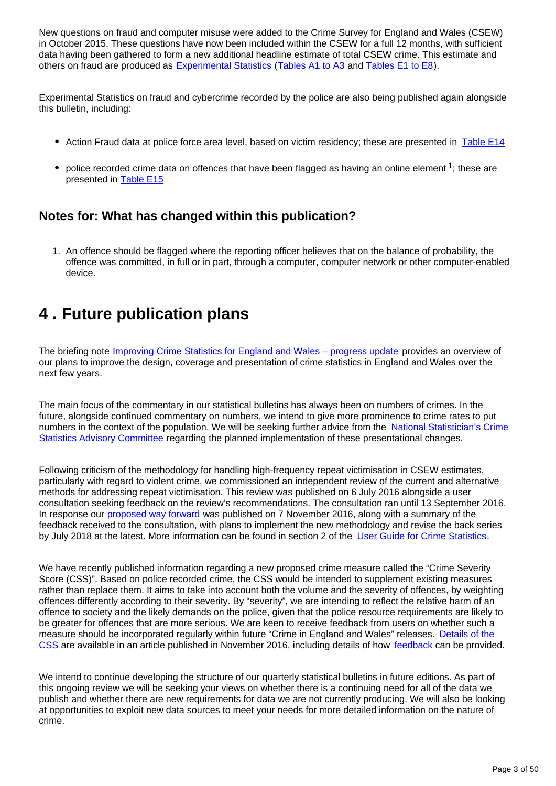New questions on fraud and computer misuse were added to the Crime Survey for England and Wales (CSEW) in October 2015. These questions have now been included within the CSEW for a full 12 months, with sufficient data having been gathered to form a new additional headline estimate of total CSEW crime. This estimate and others on fraud are produced as [Experimental Statistics](https://www.ons.gov.uk/methodology/methodologytopicsandstatisticalconcepts/guidetoexperimentalstatistics) [\(Tables A1 to A3](https://www.ons.gov.uk/peoplepopulationandcommunity/crimeandjustice/datasets/crimeinenglandandwalesappendixtables) and [Tables E1 to E8](https://www.ons.gov.uk/peoplepopulationandcommunity/crimeandjustice/datasets/crimeinenglandandwalesexperimentaltables)).

Experimental Statistics on fraud and cybercrime recorded by the police are also being published again alongside this bulletin, including:

- Action Fraud data at police force area level, based on victim residency; these are presented in [Table E14](https://www.ons.gov.uk/peoplepopulationandcommunity/crimeandjustice/datasets/crimeinenglandandwalesexperimentaltables)
- police recorded crime data on offences that have been flagged as having an online element  $1$ ; these are presented in [Table E15](https://www.ons.gov.uk/peoplepopulationandcommunity/crimeandjustice/datasets/crimeinenglandandwalesexperimentaltables)

### **Notes for: What has changed within this publication?**

1. An offence should be flagged where the reporting officer believes that on the balance of probability, the offence was committed, in full or in part, through a computer, computer network or other computer-enabled device.

## <span id="page-2-0"></span>**4 . Future publication plans**

The briefing note [Improving Crime Statistics for England and Wales – progress update](https://www.ons.gov.uk/peoplepopulationandcommunity/crimeandjustice/methodologies/improvingcrimestatisticsforenglandandwalesprogressupdate) provides an overview of our plans to improve the design, coverage and presentation of crime statistics in England and Wales over the next few years.

The main focus of the commentary in our statistical bulletins has always been on numbers of crimes. In the future, alongside continued commentary on numbers, we intend to give more prominence to crime rates to put numbers in the context of the population. We will be seeking further advice from the [National Statistician's Crime](https://www.statisticsauthority.gov.uk/national-statistician/ns-reports-reviews-guidance-and-advisory-committees/national-statisticians-advisory-committees/crime-statistics-advisory-committee/)  [Statistics Advisory Committee](https://www.statisticsauthority.gov.uk/national-statistician/ns-reports-reviews-guidance-and-advisory-committees/national-statisticians-advisory-committees/crime-statistics-advisory-committee/) regarding the planned implementation of these presentational changes.

Following criticism of the methodology for handling high-frequency repeat victimisation in CSEW estimates, particularly with regard to violent crime, we commissioned an independent review of the current and alternative methods for addressing repeat victimisation. This review was published on 6 July 2016 alongside a user consultation seeking feedback on the review's recommendations. The consultation ran until 13 September 2016. In response our [proposed way forward](https://www.ons.gov.uk/aboutus/whatwedo/statistics/consultationsandsurveys/allconsultationsandsurveys/reviewofmethodologyforaddressinghighfrequencyrepeatvictimisationincrimesurveyforenglandandwalesestimates) was published on 7 November 2016, along with a summary of the feedback received to the consultation, with plans to implement the new methodology and revise the back series by July 2018 at the latest. More information can be found in section 2 of the [User Guide for Crime Statistics.](https://www.ons.gov.uk/peoplepopulationandcommunity/crimeandjustice/methodologies/crimeandjusticemethodology)

We have recently published information regarding a new proposed crime measure called the "Crime Severity" Score (CSS)". Based on police recorded crime, the CSS would be intended to supplement existing measures rather than replace them. It aims to take into account both the volume and the severity of offences, by weighting offences differently according to their severity. By "severity", we are intending to reflect the relative harm of an offence to society and the likely demands on the police, given that the police resource requirements are likely to be greater for offences that are more serious. We are keen to receive feedback from users on whether such a measure should be incorporated regularly within future "Crime in England and Wales" releases. [Details of the](https://www.ons.gov.uk/peoplepopulationandcommunity/crimeandjustice/articles/researchoutputsdevelopingacrimeseverityscoreforenglandandwalesusingdataoncrimesrecordedbythepolice/2016-11-29)  [CSS](https://www.ons.gov.uk/peoplepopulationandcommunity/crimeandjustice/articles/researchoutputsdevelopingacrimeseverityscoreforenglandandwalesusingdataoncrimesrecordedbythepolice/2016-11-29) are available in an article published in November 2016, including details of how [feedback](https://www.ons.gov.uk/peoplepopulationandcommunity/crimeandjustice/articles/researchoutputsdevelopingacrimeseverityscoreforenglandandwalesusingdataoncrimesrecordedbythepolice/2016-11-29#feedback) can be provided.

We intend to continue developing the structure of our quarterly statistical bulletins in future editions. As part of this ongoing review we will be seeking your views on whether there is a continuing need for all of the data we publish and whether there are new requirements for data we are not currently producing. We will also be looking at opportunities to exploit new data sources to meet your needs for more detailed information on the nature of crime.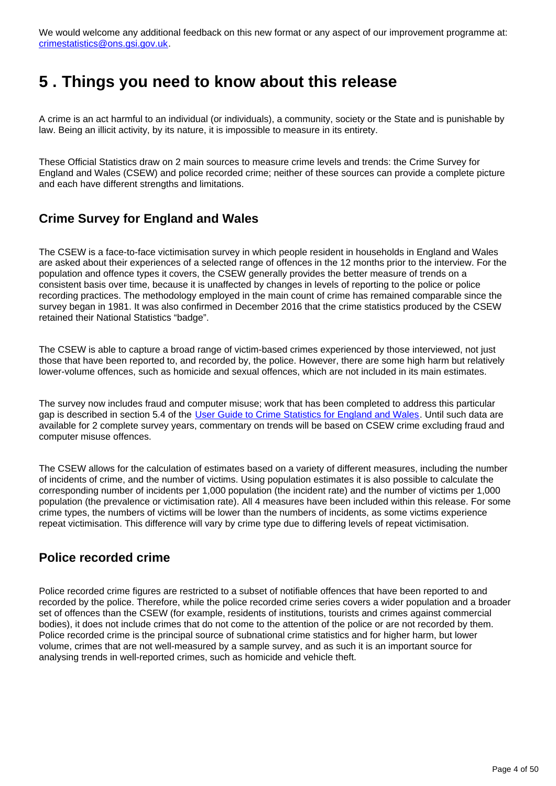We would welcome any additional feedback on this new format or any aspect of our improvement programme at: crimestatistics@ons.gsi.gov.uk.

## <span id="page-3-0"></span>**5 . Things you need to know about this release**

A crime is an act harmful to an individual (or individuals), a community, society or the State and is punishable by law. Being an illicit activity, by its nature, it is impossible to measure in its entirety.

These Official Statistics draw on 2 main sources to measure crime levels and trends: the Crime Survey for England and Wales (CSEW) and police recorded crime; neither of these sources can provide a complete picture and each have different strengths and limitations.

#### **Crime Survey for England and Wales**

The CSEW is a face-to-face victimisation survey in which people resident in households in England and Wales are asked about their experiences of a selected range of offences in the 12 months prior to the interview. For the population and offence types it covers, the CSEW generally provides the better measure of trends on a consistent basis over time, because it is unaffected by changes in levels of reporting to the police or police recording practices. The methodology employed in the main count of crime has remained comparable since the survey began in 1981. It was also confirmed in December 2016 that the crime statistics produced by the CSEW retained their National Statistics "badge".

The CSEW is able to capture a broad range of victim-based crimes experienced by those interviewed, not just those that have been reported to, and recorded by, the police. However, there are some high harm but relatively lower-volume offences, such as homicide and sexual offences, which are not included in its main estimates.

The survey now includes fraud and computer misuse; work that has been completed to address this particular gap is described in section 5.4 of the [User Guide to Crime Statistics for England and Wales.](http://www.ons.gov.uk/peoplepopulationandcommunity/crimeandjustice/methodologies/crimeandjusticemethodology) Until such data are available for 2 complete survey years, commentary on trends will be based on CSEW crime excluding fraud and computer misuse offences.

The CSEW allows for the calculation of estimates based on a variety of different measures, including the number of incidents of crime, and the number of victims. Using population estimates it is also possible to calculate the corresponding number of incidents per 1,000 population (the incident rate) and the number of victims per 1,000 population (the prevalence or victimisation rate). All 4 measures have been included within this release. For some crime types, the numbers of victims will be lower than the numbers of incidents, as some victims experience repeat victimisation. This difference will vary by crime type due to differing levels of repeat victimisation.

#### **Police recorded crime**

Police recorded crime figures are restricted to a subset of notifiable offences that have been reported to and recorded by the police. Therefore, while the police recorded crime series covers a wider population and a broader set of offences than the CSEW (for example, residents of institutions, tourists and crimes against commercial bodies), it does not include crimes that do not come to the attention of the police or are not recorded by them. Police recorded crime is the principal source of subnational crime statistics and for higher harm, but lower volume, crimes that are not well-measured by a sample survey, and as such it is an important source for analysing trends in well-reported crimes, such as homicide and vehicle theft.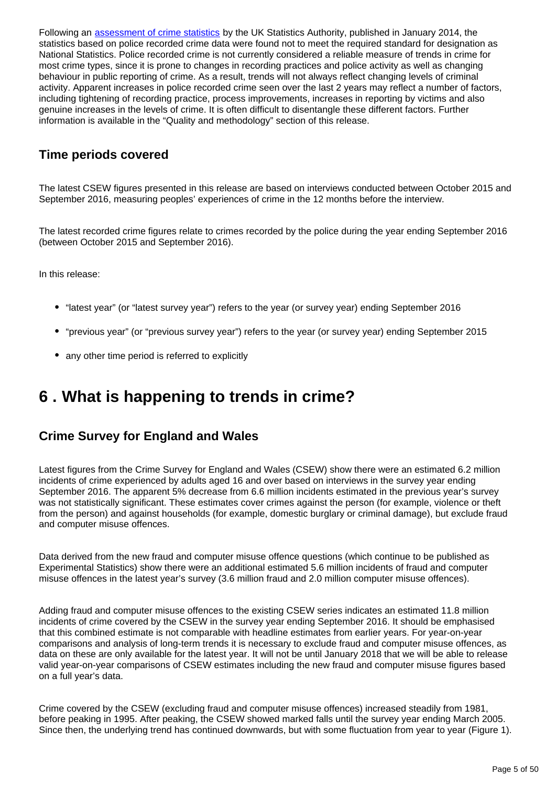Following an [assessment of crime statistics](http://www.statisticsauthority.gov.uk/assessment/assessment/assessment-reports/assessment-report-268---statistics-on-crime-in-england-and-wales.pdf) by the UK Statistics Authority, published in January 2014, the statistics based on police recorded crime data were found not to meet the required standard for designation as National Statistics. Police recorded crime is not currently considered a reliable measure of trends in crime for most crime types, since it is prone to changes in recording practices and police activity as well as changing behaviour in public reporting of crime. As a result, trends will not always reflect changing levels of criminal activity. Apparent increases in police recorded crime seen over the last 2 years may reflect a number of factors, including tightening of recording practice, process improvements, increases in reporting by victims and also genuine increases in the levels of crime. It is often difficult to disentangle these different factors. Further information is available in the "Quality and methodology" section of this release.

#### **Time periods covered**

The latest CSEW figures presented in this release are based on interviews conducted between October 2015 and September 2016, measuring peoples' experiences of crime in the 12 months before the interview.

The latest recorded crime figures relate to crimes recorded by the police during the year ending September 2016 (between October 2015 and September 2016).

In this release:

- "latest year" (or "latest survey year") refers to the year (or survey year) ending September 2016
- "previous year" (or "previous survey year") refers to the year (or survey year) ending September 2015
- any other time period is referred to explicitly

## <span id="page-4-0"></span>**6 . What is happening to trends in crime?**

### **Crime Survey for England and Wales**

Latest figures from the Crime Survey for England and Wales (CSEW) show there were an estimated 6.2 million incidents of crime experienced by adults aged 16 and over based on interviews in the survey year ending September 2016. The apparent 5% decrease from 6.6 million incidents estimated in the previous year's survey was not statistically significant. These estimates cover crimes against the person (for example, violence or theft from the person) and against households (for example, domestic burglary or criminal damage), but exclude fraud and computer misuse offences.

Data derived from the new fraud and computer misuse offence questions (which continue to be published as Experimental Statistics) show there were an additional estimated 5.6 million incidents of fraud and computer misuse offences in the latest year's survey (3.6 million fraud and 2.0 million computer misuse offences).

Adding fraud and computer misuse offences to the existing CSEW series indicates an estimated 11.8 million incidents of crime covered by the CSEW in the survey year ending September 2016. It should be emphasised that this combined estimate is not comparable with headline estimates from earlier years. For year-on-year comparisons and analysis of long-term trends it is necessary to exclude fraud and computer misuse offences, as data on these are only available for the latest year. It will not be until January 2018 that we will be able to release valid year-on-year comparisons of CSEW estimates including the new fraud and computer misuse figures based on a full year's data.

Crime covered by the CSEW (excluding fraud and computer misuse offences) increased steadily from 1981, before peaking in 1995. After peaking, the CSEW showed marked falls until the survey year ending March 2005. Since then, the underlying trend has continued downwards, but with some fluctuation from year to year (Figure 1).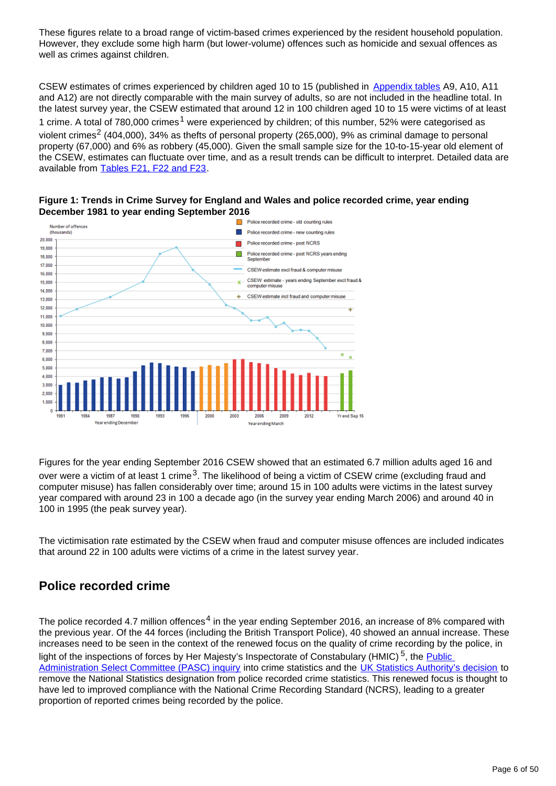These figures relate to a broad range of victim-based crimes experienced by the resident household population. However, they exclude some high harm (but lower-volume) offences such as homicide and sexual offences as well as crimes against children.

CSEW estimates of crimes experienced by children aged 10 to 15 (published in [Appendix tables](https://www.ons.gov.uk/peoplepopulationandcommunity/crimeandjustice/datasets/crimeinenglandandwalesappendixtables) A9, A10, A11 and A12) are not directly comparable with the main survey of adults, so are not included in the headline total. In the latest survey year, the CSEW estimated that around 12 in 100 children aged 10 to 15 were victims of at least 1 crime. A total of 780,000 crimes<sup>1</sup> were experienced by children; of this number, 52% were categorised as violent crimes<sup>2</sup> (404,000), 34% as thefts of personal property (265,000), 9% as criminal damage to personal property (67,000) and 6% as robbery (45,000). Given the small sample size for the 10-to-15-year old element of the CSEW, estimates can fluctuate over time, and as a result trends can be difficult to interpret. Detailed data are available from [Tables F21, F22 and F23](https://www.ons.gov.uk/peoplepopulationandcommunity/crimeandjustice/datasets/crimeinenglandandwalesbulletintables).



**Figure 1: Trends in Crime Survey for England and Wales and police recorded crime, year ending December 1981 to year ending September 2016**

Figures for the year ending September 2016 CSEW showed that an estimated 6.7 million adults aged 16 and over were a victim of at least 1 crime  $3$ . The likelihood of being a victim of CSEW crime (excluding fraud and computer misuse) has fallen considerably over time; around 15 in 100 adults were victims in the latest survey year compared with around 23 in 100 a decade ago (in the survey year ending March 2006) and around 40 in 100 in 1995 (the peak survey year).

Year ending March

The victimisation rate estimated by the CSEW when fraud and computer misuse offences are included indicates that around 22 in 100 adults were victims of a crime in the latest survey year.

### **Police recorded crime**

Year ending December

The police recorded 4.7 million offences<sup>4</sup> in the year ending September 2016, an increase of 8% compared with the previous year. Of the 44 forces (including the British Transport Police), 40 showed an annual increase. These increases need to be seen in the context of the renewed focus on the quality of crime recording by the police, in light of the inspections of forces by Her Majesty's Inspectorate of Constabulary (HMIC)<sup>5</sup>, the **Public** [Administration Select Committee \(PASC\) inquiry](http://www.publications.parliament.uk/pa/cm201314/cmselect/cmpubadm/760/760.pdf) into crime statistics and the [UK Statistics Authority's decision](http://www.statisticsauthority.gov.uk/assessment/assessment/assessment-reports/assessment-report-268---statistics-on-crime-in-england-and-wales.pdf) to remove the National Statistics designation from police recorded crime statistics. This renewed focus is thought to have led to improved compliance with the National Crime Recording Standard (NCRS), leading to a greater proportion of reported crimes being recorded by the police.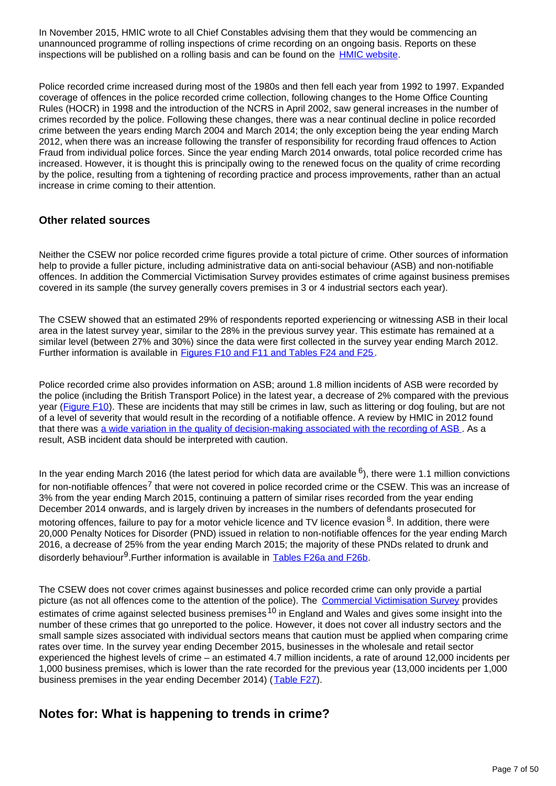In November 2015, HMIC wrote to all Chief Constables advising them that they would be commencing an unannounced programme of rolling inspections of crime recording on an ongoing basis. Reports on these inspections will be published on a rolling basis and can be found on the [HMIC website](https://www.justiceinspectorates.gov.uk/hmic/publications/rolling-cdi-programme-reports/).

Police recorded crime increased during most of the 1980s and then fell each year from 1992 to 1997. Expanded coverage of offences in the police recorded crime collection, following changes to the Home Office Counting Rules (HOCR) in 1998 and the introduction of the NCRS in April 2002, saw general increases in the number of crimes recorded by the police. Following these changes, there was a near continual decline in police recorded crime between the years ending March 2004 and March 2014; the only exception being the year ending March 2012, when there was an increase following the transfer of responsibility for recording fraud offences to Action Fraud from individual police forces. Since the year ending March 2014 onwards, total police recorded crime has increased. However, it is thought this is principally owing to the renewed focus on the quality of crime recording by the police, resulting from a tightening of recording practice and process improvements, rather than an actual increase in crime coming to their attention.

#### **Other related sources**

Neither the CSEW nor police recorded crime figures provide a total picture of crime. Other sources of information help to provide a fuller picture, including administrative data on anti-social behaviour (ASB) and non-notifiable offences. In addition the Commercial Victimisation Survey provides estimates of crime against business premises covered in its sample (the survey generally covers premises in 3 or 4 industrial sectors each year).

The CSEW showed that an estimated 29% of respondents reported experiencing or witnessing ASB in their local area in the latest survey year, similar to the 28% in the previous survey year. This estimate has remained at a similar level (between 27% and 30%) since the data were first collected in the survey year ending March 2012. Further information is available in **[Figures F10 and F11 and Tables F24 and F25](https://www.ons.gov.uk/peoplepopulationandcommunity/crimeandjustice/datasets/crimeinenglandandwalesbulletintables)**.

Police recorded crime also provides information on ASB; around 1.8 million incidents of ASB were recorded by the police (including the British Transport Police) in the latest year, a decrease of 2% compared with the previous year ([Figure F10\)](https://www.ons.gov.uk/peoplepopulationandcommunity/crimeandjustice/datasets/crimeinenglandandwalesbulletintables). These are incidents that may still be crimes in law, such as littering or dog fouling, but are not of a level of severity that would result in the recording of a notifiable offence. A review by HMIC in 2012 found that there was [a wide variation in the quality of decision-making associated with the recording of ASB](http://www.justiceinspectorates.gov.uk/hmic/publication/a-step-in-the-right-direction-the-policing-of-anti-social-behaviour/). As a result, ASB incident data should be interpreted with caution.

In the year ending March 2016 (the latest period for which data are available  $6$ ), there were 1.1 million convictions for non-notifiable offences<sup>7</sup> that were not covered in police recorded crime or the CSEW. This was an increase of 3% from the year ending March 2015, continuing a pattern of similar rises recorded from the year ending December 2014 onwards, and is largely driven by increases in the numbers of defendants prosecuted for motoring offences, failure to pay for a motor vehicle licence and TV licence evasion  $8$ . In addition, there were 20,000 Penalty Notices for Disorder (PND) issued in relation to non-notifiable offences for the year ending March 2016, a decrease of 25% from the year ending March 2015; the majority of these PNDs related to drunk and disorderly behaviour<sup>9</sup>.Further information is available in Tables F26a and F26b.

The CSEW does not cover crimes against businesses and police recorded crime can only provide a partial picture (as not all offences come to the attention of the police). The [Commercial Victimisation Survey](https://www.gov.uk/government/statistics/crime-against-businesses-findings-from-the-2015-commercial-victimisation-survey) provides estimates of crime against selected business premises <sup>10</sup> in England and Wales and gives some insight into the number of these crimes that go unreported to the police. However, it does not cover all industry sectors and the small sample sizes associated with individual sectors means that caution must be applied when comparing crime rates over time. In the survey year ending December 2015, businesses in the wholesale and retail sector experienced the highest levels of crime – an estimated 4.7 million incidents, a rate of around 12,000 incidents per 1,000 business premises, which is lower than the rate recorded for the previous year (13,000 incidents per 1,000 business premises in the year ending December 2014) ([Table F27](https://www.ons.gov.uk/peoplepopulationandcommunity/crimeandjustice/datasets/crimeinenglandandwalesbulletintables)).

### **Notes for: What is happening to trends in crime?**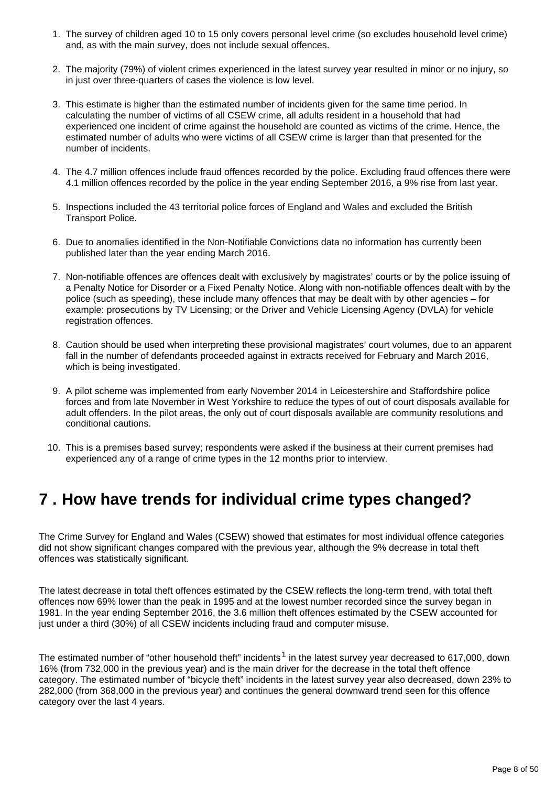- 1. The survey of children aged 10 to 15 only covers personal level crime (so excludes household level crime) and, as with the main survey, does not include sexual offences.
- 2. The majority (79%) of violent crimes experienced in the latest survey year resulted in minor or no injury, so in just over three-quarters of cases the violence is low level.
- 3. This estimate is higher than the estimated number of incidents given for the same time period. In calculating the number of victims of all CSEW crime, all adults resident in a household that had experienced one incident of crime against the household are counted as victims of the crime. Hence, the estimated number of adults who were victims of all CSEW crime is larger than that presented for the number of incidents.
- 4. The 4.7 million offences include fraud offences recorded by the police. Excluding fraud offences there were 4.1 million offences recorded by the police in the year ending September 2016, a 9% rise from last year.
- 5. Inspections included the 43 territorial police forces of England and Wales and excluded the British Transport Police.
- 6. Due to anomalies identified in the Non-Notifiable Convictions data no information has currently been published later than the year ending March 2016.
- 7. Non-notifiable offences are offences dealt with exclusively by magistrates' courts or by the police issuing of a Penalty Notice for Disorder or a Fixed Penalty Notice. Along with non-notifiable offences dealt with by the police (such as speeding), these include many offences that may be dealt with by other agencies – for example: prosecutions by TV Licensing; or the Driver and Vehicle Licensing Agency (DVLA) for vehicle registration offences.
- 8. Caution should be used when interpreting these provisional magistrates' court volumes, due to an apparent fall in the number of defendants proceeded against in extracts received for February and March 2016, which is being investigated.
- 9. A pilot scheme was implemented from early November 2014 in Leicestershire and Staffordshire police forces and from late November in West Yorkshire to reduce the types of out of court disposals available for adult offenders. In the pilot areas, the only out of court disposals available are community resolutions and conditional cautions.
- 10. This is a premises based survey; respondents were asked if the business at their current premises had experienced any of a range of crime types in the 12 months prior to interview.

## <span id="page-7-0"></span>**7 . How have trends for individual crime types changed?**

The Crime Survey for England and Wales (CSEW) showed that estimates for most individual offence categories did not show significant changes compared with the previous year, although the 9% decrease in total theft offences was statistically significant.

The latest decrease in total theft offences estimated by the CSEW reflects the long-term trend, with total theft offences now 69% lower than the peak in 1995 and at the lowest number recorded since the survey began in 1981. In the year ending September 2016, the 3.6 million theft offences estimated by the CSEW accounted for just under a third (30%) of all CSEW incidents including fraud and computer misuse.

The estimated number of "other household theft" incidents<sup>1</sup> in the latest survey year decreased to 617,000, down 16% (from 732,000 in the previous year) and is the main driver for the decrease in the total theft offence category. The estimated number of "bicycle theft" incidents in the latest survey year also decreased, down 23% to 282,000 (from 368,000 in the previous year) and continues the general downward trend seen for this offence category over the last 4 years.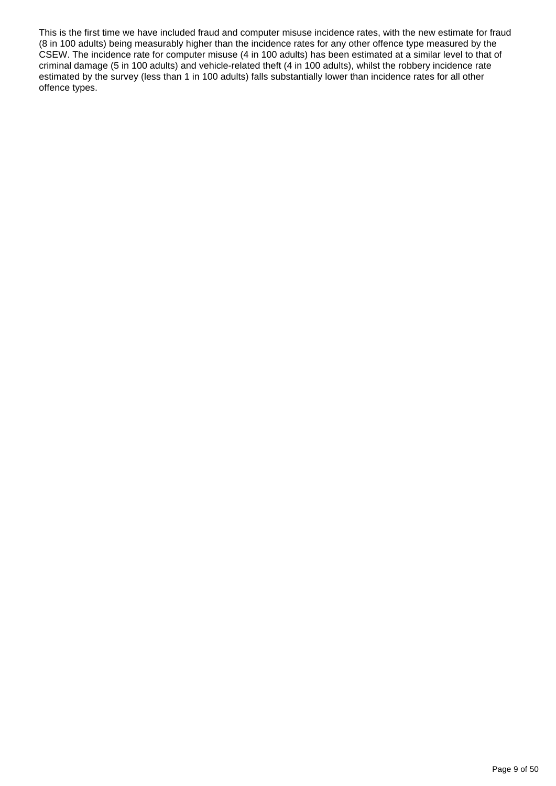This is the first time we have included fraud and computer misuse incidence rates, with the new estimate for fraud (8 in 100 adults) being measurably higher than the incidence rates for any other offence type measured by the CSEW. The incidence rate for computer misuse (4 in 100 adults) has been estimated at a similar level to that of criminal damage (5 in 100 adults) and vehicle-related theft (4 in 100 adults), whilst the robbery incidence rate estimated by the survey (less than 1 in 100 adults) falls substantially lower than incidence rates for all other offence types.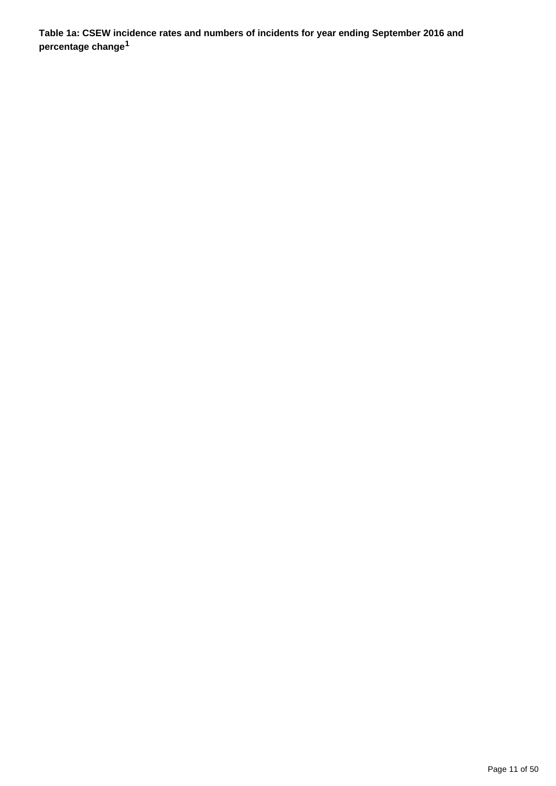**Table 1a: CSEW incidence rates and numbers of incidents for year ending September 2016 and percentage change<sup>1</sup>**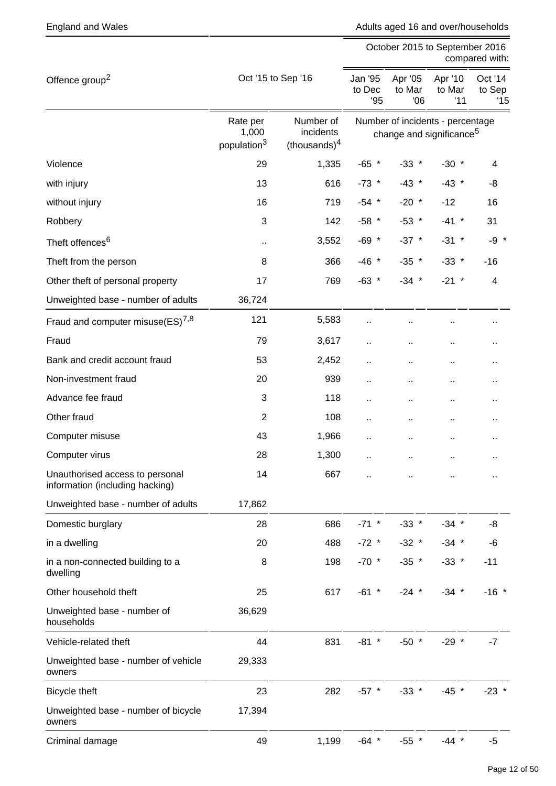England and Wales **Adults aged 16 and over/households** Adults aged 16 and over/households

|                                                                    |                                              |                                           | October 2015 to September 2016<br>compared with: |                                                                          |                          |                          |
|--------------------------------------------------------------------|----------------------------------------------|-------------------------------------------|--------------------------------------------------|--------------------------------------------------------------------------|--------------------------|--------------------------|
| Offence group <sup>2</sup>                                         | Oct '15 to Sep '16                           | Jan '95<br>to Dec<br>'95                  | Apr '05<br>to Mar<br>06                          | Apr '10<br>to Mar<br>'11                                                 | Oct '14<br>to Sep<br>'15 |                          |
|                                                                    | Rate per<br>1,000<br>population <sup>3</sup> | Number of<br>incidents<br>$-thousands)^4$ |                                                  | Number of incidents - percentage<br>change and significance <sup>5</sup> |                          |                          |
| Violence                                                           | 29                                           | 1,335                                     | $-65$ *                                          | $-33$ *                                                                  | $-30$ *                  | 4                        |
| with injury                                                        | 13                                           | 616                                       | $-73$ *                                          | $-43$ *                                                                  | $-43$ *                  | -8                       |
| without injury                                                     | 16                                           | 719                                       | $-54$ *                                          | $-20$ *                                                                  | $-12$                    | 16                       |
| Robbery                                                            | $\mathbf{3}$                                 | 142                                       | $-58$ *                                          | $-53$ *                                                                  | $-41$ *                  | 31                       |
| Theft offences <sup>6</sup>                                        | $\ddot{\phantom{1}}$                         | 3,552                                     | $-69$ *                                          | $-37$ *                                                                  | $-31$ *                  | $-9 *$                   |
| Theft from the person                                              | 8                                            | 366                                       | $-46$ *                                          | $-35$ *                                                                  | $-33$ *                  | $-16$                    |
| Other theft of personal property                                   | 17                                           | 769                                       | $-63$ *                                          | $-34$ *                                                                  | $-21$ *                  | $\overline{\mathcal{A}}$ |
| Unweighted base - number of adults                                 | 36,724                                       |                                           |                                                  |                                                                          |                          |                          |
| Fraud and computer misuse(ES) <sup>7,8</sup>                       | 121                                          | 5,583                                     |                                                  |                                                                          | н,                       | ٠.                       |
| Fraud                                                              | 79                                           | 3,617                                     | и,                                               |                                                                          | Ω,                       | ٠.                       |
| Bank and credit account fraud                                      | 53                                           | 2,452                                     |                                                  | Ω,                                                                       | ò.                       | ٠.                       |
| Non-investment fraud                                               | 20                                           | 939                                       | .,                                               | ٠.                                                                       | ò.                       | н,                       |
| Advance fee fraud                                                  | 3                                            | 118                                       | .,                                               |                                                                          | Ω,                       | ٠.                       |
| Other fraud                                                        | $\overline{2}$                               | 108                                       | . .                                              | Ω,                                                                       | ò.                       | ٠.                       |
| Computer misuse                                                    | 43                                           | 1,966                                     |                                                  | ٠.                                                                       | ٠.                       | .,                       |
| Computer virus                                                     | 28                                           | 1,300                                     |                                                  |                                                                          | ò.                       | ٠.                       |
| Unauthorised access to personal<br>information (including hacking) | 14                                           | 667                                       |                                                  |                                                                          |                          |                          |
| Unweighted base - number of adults                                 | 17,862                                       |                                           |                                                  |                                                                          |                          |                          |
| Domestic burglary                                                  | 28                                           | 686                                       | $-71$ *                                          | $-33$ *                                                                  | $-34$ *                  | -8                       |
| in a dwelling                                                      | 20                                           | 488                                       | $-72$ *                                          | $-32$ *                                                                  | $-34$ *                  | -6                       |
| in a non-connected building to a<br>dwelling                       | 8                                            | 198                                       | $-70$ *                                          | $-35$ *                                                                  | $-33$ *                  | $-11$                    |
| Other household theft                                              | 25                                           | 617                                       | $-61$ *                                          | $-24$ *                                                                  | $-34$ *                  | $-16$ *                  |
| Unweighted base - number of<br>households                          | 36,629                                       |                                           |                                                  |                                                                          |                          |                          |
| Vehicle-related theft                                              | 44                                           | 831                                       | $-81$ *                                          | $-50$ *                                                                  | $-29$ *                  | $-7$                     |
| Unweighted base - number of vehicle<br>owners                      | 29,333                                       |                                           |                                                  |                                                                          |                          |                          |
| Bicycle theft                                                      | 23                                           | 282                                       | $-57$ *                                          | $-33$ *                                                                  | $-45$ *                  | $-23$ *                  |
| Unweighted base - number of bicycle<br>owners                      | 17,394                                       |                                           |                                                  |                                                                          |                          |                          |
| Criminal damage                                                    | 49                                           | 1,199                                     | $-64$ *                                          | $-55$ *                                                                  | $-44$ *                  | $-5$                     |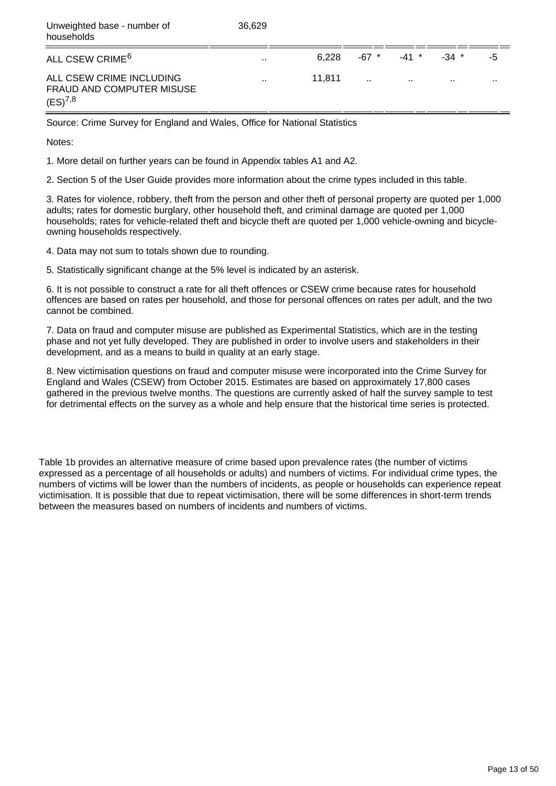| Unweighted base - number of<br>households                                    | 36.629               |        |        |                 |         |           |
|------------------------------------------------------------------------------|----------------------|--------|--------|-----------------|---------|-----------|
| ALL CSEW CRIME <sup>6</sup>                                                  | $\mathbf{r}$         | 6.228  |        | -67 * -41 *     | $-34$ * | -5        |
| ALL CSEW CRIME INCLUDING<br><b>FRAUD AND COMPUTER MISUSE</b><br>$(ES)^{7,8}$ | $\ddot{\phantom{a}}$ | 11.811 | $\sim$ | <b>Contract</b> | $\sim$  | $\ddotsc$ |

Source: Crime Survey for England and Wales, Office for National Statistics

Notes:

1. More detail on further years can be found in Appendix tables A1 and A2.

2. Section 5 of the User Guide provides more information about the crime types included in this table.

3. Rates for violence, robbery, theft from the person and other theft of personal property are quoted per 1,000 adults; rates for domestic burglary, other household theft, and criminal damage are quoted per 1,000 households; rates for vehicle-related theft and bicycle theft are quoted per 1,000 vehicle-owning and bicycleowning households respectively.

4. Data may not sum to totals shown due to rounding.

5. Statistically significant change at the 5% level is indicated by an asterisk.

6. It is not possible to construct a rate for all theft offences or CSEW crime because rates for household offences are based on rates per household, and those for personal offences on rates per adult, and the two cannot be combined.

7. Data on fraud and computer misuse are published as Experimental Statistics, which are in the testing phase and not yet fully developed. They are published in order to involve users and stakeholders in their development, and as a means to build in quality at an early stage.

8. New victimisation questions on fraud and computer misuse were incorporated into the Crime Survey for England and Wales (CSEW) from October 2015. Estimates are based on approximately 17,800 cases gathered in the previous twelve months. The questions are currently asked of half the survey sample to test for detrimental effects on the survey as a whole and help ensure that the historical time series is protected.

Table 1b provides an alternative measure of crime based upon prevalence rates (the number of victims expressed as a percentage of all households or adults) and numbers of victims. For individual crime types, the numbers of victims will be lower than the numbers of incidents, as people or households can experience repeat victimisation. It is possible that due to repeat victimisation, there will be some differences in short-term trends between the measures based on numbers of incidents and numbers of victims.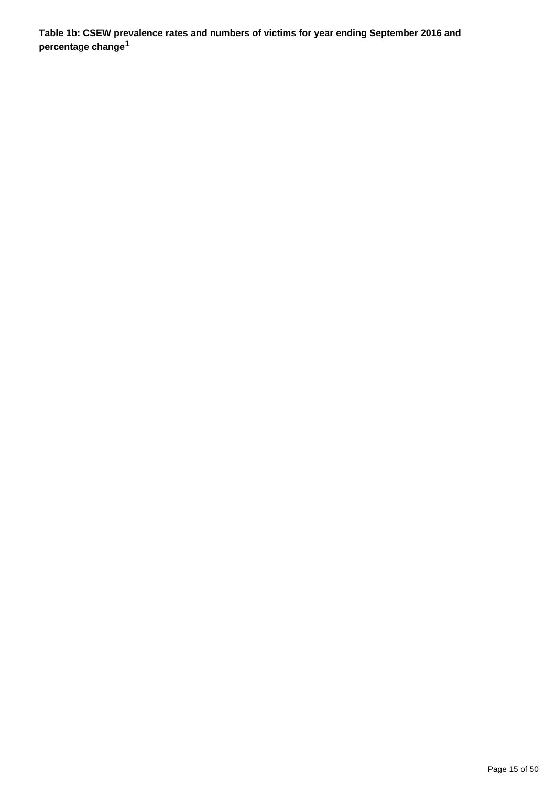**Table 1b: CSEW prevalence rates and numbers of victims for year ending September 2016 and percentage change<sup>1</sup>**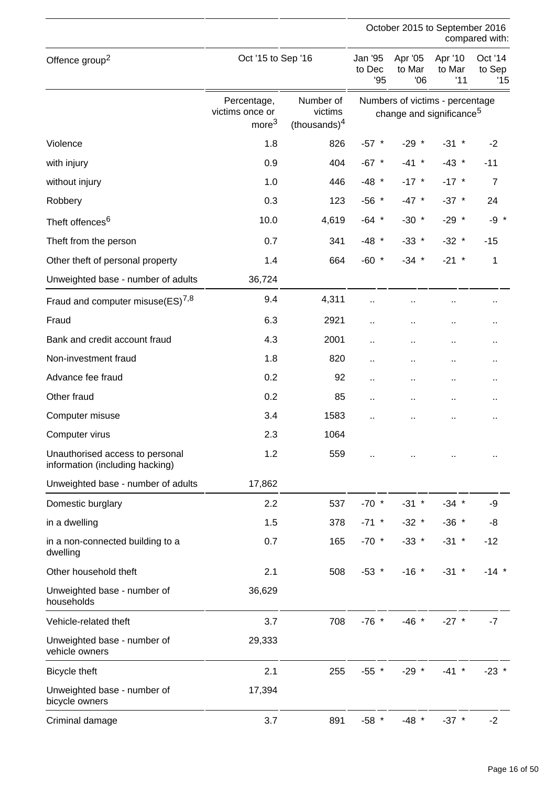|                                                                    |                                                     |                                         |                         | October 2015 to September 2016                                          |                          | compared with:           |
|--------------------------------------------------------------------|-----------------------------------------------------|-----------------------------------------|-------------------------|-------------------------------------------------------------------------|--------------------------|--------------------------|
| Offence group <sup>2</sup>                                         | Oct '15 to Sep '16                                  |                                         | Jan '95<br>to Dec<br>95 | Apr '05<br>to Mar<br>06                                                 | Apr '10<br>to Mar<br>'11 | Oct '14<br>to Sep<br>'15 |
|                                                                    | Percentage,<br>victims once or<br>more <sup>3</sup> | Number of<br>victims<br>(thousands) $4$ |                         | Numbers of victims - percentage<br>change and significance <sup>5</sup> |                          |                          |
| Violence                                                           | 1.8                                                 | 826                                     | $-57$ *                 | $-29$ *                                                                 | $-31$ *                  | $-2$                     |
| with injury                                                        | 0.9                                                 | 404                                     | $-67$ *                 | $-41$ *                                                                 | $-43$ *                  | $-11$                    |
| without injury                                                     | 1.0                                                 | 446                                     | $-48$ *                 | $-17$ *                                                                 | $-17$ *                  | $\overline{7}$           |
| Robbery                                                            | 0.3                                                 | 123                                     | $-56$ *                 | $-47$ *                                                                 | $-37$ *                  | 24                       |
| Theft offences <sup>6</sup>                                        | 10.0                                                | 4,619                                   | $-64$ *                 | $-30$ *                                                                 | $-29$ *                  | $-9 *$                   |
| Theft from the person                                              | 0.7                                                 | 341                                     | $-48$ *                 | $-33$ *                                                                 | $-32$ *                  | $-15$                    |
| Other theft of personal property                                   | 1.4                                                 | 664                                     | $-60$ *                 | $-34$ *                                                                 | $-21$ *                  | $\mathbf 1$              |
| Unweighted base - number of adults                                 | 36,724                                              |                                         |                         |                                                                         |                          |                          |
| Fraud and computer misuse $(ES)^{7,8}$                             | 9.4                                                 | 4,311                                   |                         |                                                                         | $\ddot{\phantom{1}}$     | .,                       |
| Fraud                                                              | 6.3                                                 | 2921                                    | П,                      |                                                                         | $\ddot{\phantom{1}}$     | .,                       |
| Bank and credit account fraud                                      | 4.3                                                 | 2001                                    | Ω,                      |                                                                         | $\ddot{\phantom{1}}$     | .,                       |
| Non-investment fraud                                               | 1.8                                                 | 820                                     | Ω,                      | Ω,                                                                      | $\ddot{\phantom{1}}$     | Ω.                       |
| Advance fee fraud                                                  | 0.2                                                 | 92                                      |                         | .,                                                                      | $\ddot{\phantom{1}}$     | .,                       |
| Other fraud                                                        | 0.2                                                 | 85                                      | Ω,                      | $\ddot{\phantom{a}}$                                                    | $\sim$                   | $\ddot{\phantom{1}}$     |
| Computer misuse                                                    | 3.4                                                 | 1583                                    | ä.                      |                                                                         | $\ddot{\phantom{a}}$     | .,                       |
| Computer virus                                                     | 2.3                                                 | 1064                                    |                         |                                                                         |                          |                          |
| Unauthorised access to personal<br>information (including hacking) | 1.2                                                 | 559                                     |                         |                                                                         |                          |                          |
| Unweighted base - number of adults                                 | 17,862                                              |                                         |                         |                                                                         |                          |                          |
| Domestic burglary                                                  | 2.2                                                 | 537                                     | $-70$ *                 | $-31$ *                                                                 | $-34$ *                  | -9                       |
| in a dwelling                                                      | 1.5                                                 | 378                                     | $-71$ *                 | $-32$ *                                                                 | $-36$ *                  | -8                       |
| in a non-connected building to a<br>dwelling                       | 0.7                                                 | 165                                     | $-70$ *                 | $-33$ *                                                                 | $-31$ *                  | $-12$                    |
| Other household theft                                              | 2.1                                                 | 508                                     | $-53$ *                 | $-16$ *                                                                 | $-31$ *                  | $-14$ *                  |
| Unweighted base - number of<br>households                          | 36,629                                              |                                         |                         |                                                                         |                          |                          |
| Vehicle-related theft                                              | 3.7                                                 | 708                                     | $-76$ *                 | $-46$ *                                                                 | $-27$ *                  | $-7$                     |
| Unweighted base - number of<br>vehicle owners                      | 29,333                                              |                                         |                         |                                                                         |                          |                          |
| Bicycle theft                                                      | 2.1                                                 | 255                                     | $-55$ *                 | $-29$ *                                                                 | $-41$ *                  | $-23$ *                  |
| Unweighted base - number of<br>bicycle owners                      | 17,394                                              |                                         |                         |                                                                         |                          |                          |
| Criminal damage                                                    | 3.7                                                 | 891                                     | $-58$ *                 | $-48$ *                                                                 | $-37$ *                  | $-2$                     |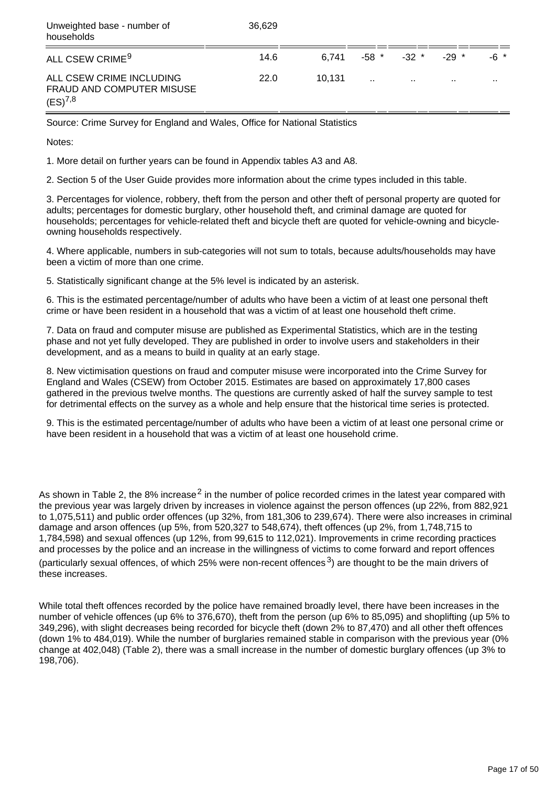| Unweighted base - number of<br>households                             | 36.629 |        |        |                     |         |          |
|-----------------------------------------------------------------------|--------|--------|--------|---------------------|---------|----------|
| ALL CSEW CRIME <sup>9</sup>                                           | 14.6   | 6.741  |        | $-58$ $*$ $-32$ $*$ | $-29$ * | -6 *     |
| ALL CSEW CRIME INCLUDING<br>FRAUD AND COMPUTER MISUSE<br>$(ES)^{7,8}$ | 22.0   | 10.131 | $\sim$ | $\cdots$            | $\sim$  | $\cdots$ |

Source: Crime Survey for England and Wales, Office for National Statistics

Notes:

1. More detail on further years can be found in Appendix tables A3 and A8.

2. Section 5 of the User Guide provides more information about the crime types included in this table.

3. Percentages for violence, robbery, theft from the person and other theft of personal property are quoted for adults; percentages for domestic burglary, other household theft, and criminal damage are quoted for households; percentages for vehicle-related theft and bicycle theft are quoted for vehicle-owning and bicycleowning households respectively.

4. Where applicable, numbers in sub-categories will not sum to totals, because adults/households may have been a victim of more than one crime.

5. Statistically significant change at the 5% level is indicated by an asterisk.

6. This is the estimated percentage/number of adults who have been a victim of at least one personal theft crime or have been resident in a household that was a victim of at least one household theft crime.

7. Data on fraud and computer misuse are published as Experimental Statistics, which are in the testing phase and not yet fully developed. They are published in order to involve users and stakeholders in their development, and as a means to build in quality at an early stage.

8. New victimisation questions on fraud and computer misuse were incorporated into the Crime Survey for England and Wales (CSEW) from October 2015. Estimates are based on approximately 17,800 cases gathered in the previous twelve months. The questions are currently asked of half the survey sample to test for detrimental effects on the survey as a whole and help ensure that the historical time series is protected.

9. This is the estimated percentage/number of adults who have been a victim of at least one personal crime or have been resident in a household that was a victim of at least one household crime.

As shown in Table 2, the 8% increase<sup>2</sup> in the number of police recorded crimes in the latest year compared with the previous year was largely driven by increases in violence against the person offences (up 22%, from 882,921 to 1,075,511) and public order offences (up 32%, from 181,306 to 239,674). There were also increases in criminal damage and arson offences (up 5%, from 520,327 to 548,674), theft offences (up 2%, from 1,748,715 to 1,784,598) and sexual offences (up 12%, from 99,615 to 112,021). Improvements in crime recording practices and processes by the police and an increase in the willingness of victims to come forward and report offences (particularly sexual offences, of which 25% were non-recent offences<sup>3</sup>) are thought to be the main drivers of these increases.

While total theft offences recorded by the police have remained broadly level, there have been increases in the number of vehicle offences (up 6% to 376,670), theft from the person (up 6% to 85,095) and shoplifting (up 5% to 349,296), with slight decreases being recorded for bicycle theft (down 2% to 87,470) and all other theft offences (down 1% to 484,019). While the number of burglaries remained stable in comparison with the previous year (0% change at 402,048) (Table 2), there was a small increase in the number of domestic burglary offences (up 3% to 198,706).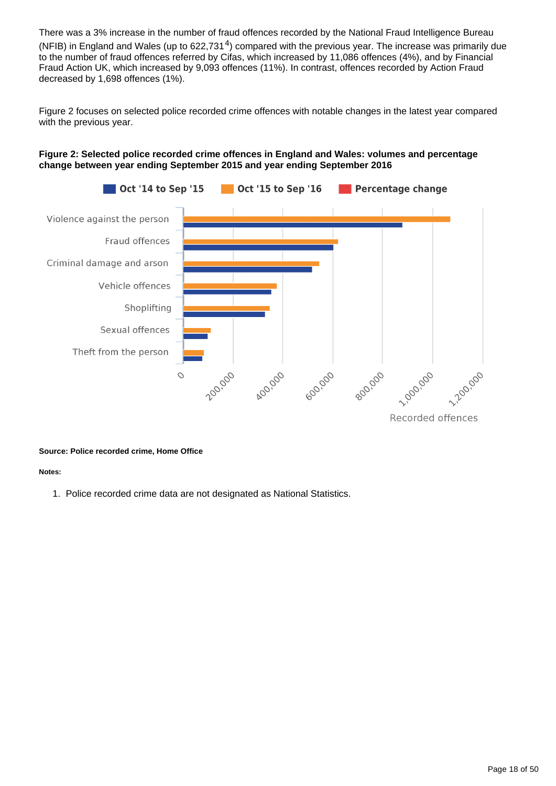There was a 3% increase in the number of fraud offences recorded by the National Fraud Intelligence Bureau (NFIB) in England and Wales (up to  $622,731<sup>4</sup>$ ) compared with the previous year. The increase was primarily due to the number of fraud offences referred by Cifas, which increased by 11,086 offences (4%), and by Financial Fraud Action UK, which increased by 9,093 offences (11%). In contrast, offences recorded by Action Fraud decreased by 1,698 offences (1%).

Figure 2 focuses on selected police recorded crime offences with notable changes in the latest year compared with the previous year.



#### **Figure 2: Selected police recorded crime offences in England and Wales: volumes and percentage change between year ending September 2015 and year ending September 2016**

#### **Source: Police recorded crime, Home Office**

**Notes:**

1. Police recorded crime data are not designated as National Statistics.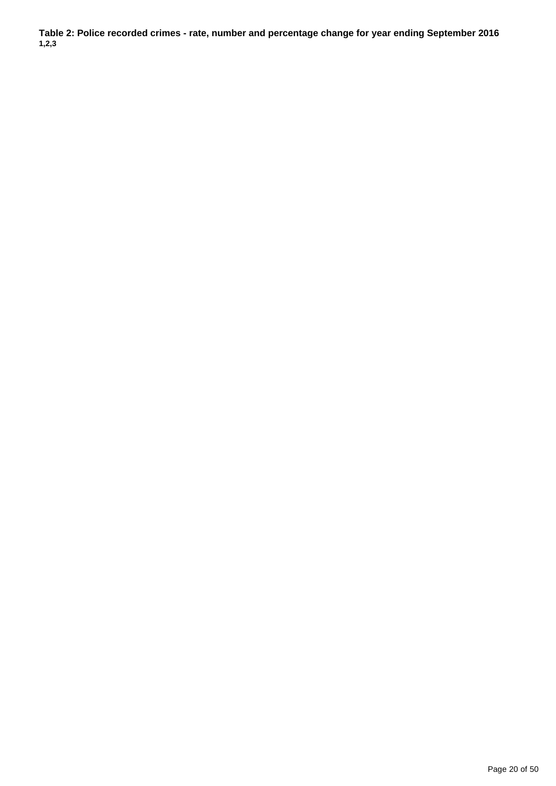**Table 2: Police recorded crimes - rate, number and percentage change for year ending September 2016 1,2,3**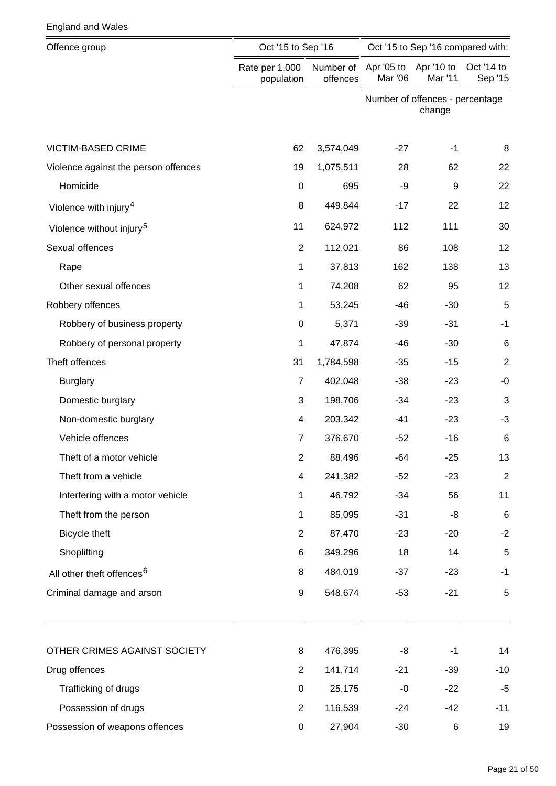| Offence group                         | Oct '15 to Sep '16           |                       | Oct '15 to Sep '16 compared with: |                                           |                       |
|---------------------------------------|------------------------------|-----------------------|-----------------------------------|-------------------------------------------|-----------------------|
|                                       | Rate per 1,000<br>population | Number of<br>offences | Apr '05 to<br>Mar '06             | Apr '10 to<br>Mar '11                     | Oct '14 to<br>Sep '15 |
|                                       |                              |                       |                                   | Number of offences - percentage<br>change |                       |
| <b>VICTIM-BASED CRIME</b>             | 62                           | 3,574,049             | $-27$                             | $-1$                                      | 8                     |
| Violence against the person offences  | 19                           | 1,075,511             | 28                                | 62                                        | 22                    |
| Homicide                              | $\mathbf 0$                  | 695                   | -9                                | 9                                         | 22                    |
| Violence with injury <sup>4</sup>     | 8                            | 449,844               | $-17$                             | 22                                        | 12                    |
| Violence without injury <sup>5</sup>  | 11                           | 624,972               | 112                               | 111                                       | 30                    |
| Sexual offences                       | $\overline{2}$               | 112,021               | 86                                | 108                                       | 12                    |
| Rape                                  | 1                            | 37,813                | 162                               | 138                                       | 13                    |
| Other sexual offences                 | 1                            | 74,208                | 62                                | 95                                        | 12                    |
| Robbery offences                      | 1                            | 53,245                | $-46$                             | $-30$                                     | 5                     |
| Robbery of business property          | $\mathbf 0$                  | 5,371                 | $-39$                             | $-31$                                     | $-1$                  |
| Robbery of personal property          | 1                            | 47,874                | $-46$                             | $-30$                                     | $\,6$                 |
| Theft offences                        | 31                           | 1,784,598             | $-35$                             | $-15$                                     | $\overline{2}$        |
| <b>Burglary</b>                       | $\overline{7}$               | 402,048               | $-38$                             | $-23$                                     | $-0$                  |
| Domestic burglary                     | 3                            | 198,706               | $-34$                             | $-23$                                     | 3                     |
| Non-domestic burglary                 | 4                            | 203,342               | $-41$                             | $-23$                                     | $-3$                  |
| Vehicle offences                      | 7                            | 376,670               | $-52$                             | $-16$                                     | $\,6$                 |
| Theft of a motor vehicle              | 2                            | 88,496                | -64                               | $-25$                                     | 13                    |
| Theft from a vehicle                  | $\overline{\mathcal{A}}$     | 241,382               | $-52$                             | $-23$                                     | $\boldsymbol{2}$      |
| Interfering with a motor vehicle      | 1                            | 46,792                | $-34$                             | 56                                        | 11                    |
| Theft from the person                 | 1                            | 85,095                | $-31$                             | -8                                        | $6\phantom{1}6$       |
| Bicycle theft                         | $\overline{2}$               | 87,470                | $-23$                             | $-20$                                     | $-2$                  |
| Shoplifting                           | 6                            | 349,296               | 18                                | 14                                        | 5                     |
| All other theft offences <sup>6</sup> | 8                            | 484,019               | $-37$                             | $-23$                                     | $-1$                  |
| Criminal damage and arson             | 9                            | 548,674               | $-53$                             | $-21$                                     | 5                     |
| OTHER CRIMES AGAINST SOCIETY          | 8                            | 476,395               | -8                                | $-1$                                      | 14                    |
| Drug offences                         | $\overline{2}$               | 141,714               | $-21$                             | $-39$                                     | $-10$                 |
| Trafficking of drugs                  | $\pmb{0}$                    | 25,175                | $-0$                              | $-22$                                     | $-5$                  |
| Possession of drugs                   | $\overline{2}$               | 116,539               | $-24$                             | $-42$                                     | $-11$                 |
| Possession of weapons offences        | 0                            | 27,904                | $-30$                             | 6                                         | 19                    |

England and Wales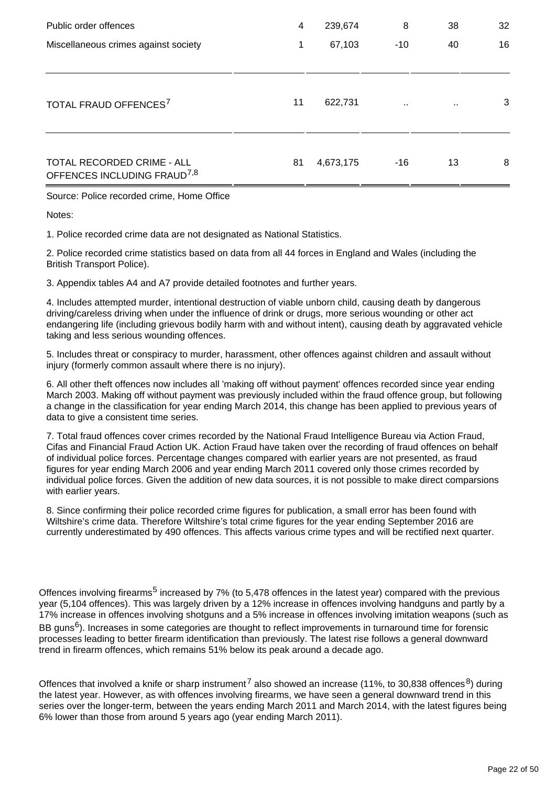| Public order offences                                                 | 4  | 239,674   | 8         | 38     | 32 |
|-----------------------------------------------------------------------|----|-----------|-----------|--------|----|
| Miscellaneous crimes against society                                  | 1  | 67,103    | $-10$     | 40     | 16 |
| TOTAL FRAUD OFFENCES <sup>7</sup>                                     | 11 | 622,731   | $\cdot$ . | $\sim$ | 3  |
| TOTAL RECORDED CRIME - ALL<br>OFFENCES INCLUDING FRAUD <sup>7,8</sup> | 81 | 4,673,175 | $-16$     | 13     | 8  |

Source: Police recorded crime, Home Office

Notes:

1. Police recorded crime data are not designated as National Statistics.

2. Police recorded crime statistics based on data from all 44 forces in England and Wales (including the British Transport Police).

3. Appendix tables A4 and A7 provide detailed footnotes and further years.

4. Includes attempted murder, intentional destruction of viable unborn child, causing death by dangerous driving/careless driving when under the influence of drink or drugs, more serious wounding or other act endangering life (including grievous bodily harm with and without intent), causing death by aggravated vehicle taking and less serious wounding offences.

5. Includes threat or conspiracy to murder, harassment, other offences against children and assault without injury (formerly common assault where there is no injury).

6. All other theft offences now includes all 'making off without payment' offences recorded since year ending March 2003. Making off without payment was previously included within the fraud offence group, but following a change in the classification for year ending March 2014, this change has been applied to previous years of data to give a consistent time series.

7. Total fraud offences cover crimes recorded by the National Fraud Intelligence Bureau via Action Fraud, Cifas and Financial Fraud Action UK. Action Fraud have taken over the recording of fraud offences on behalf of individual police forces. Percentage changes compared with earlier years are not presented, as fraud figures for year ending March 2006 and year ending March 2011 covered only those crimes recorded by individual police forces. Given the addition of new data sources, it is not possible to make direct comparsions with earlier years.

8. Since confirming their police recorded crime figures for publication, a small error has been found with Wiltshire's crime data. Therefore Wiltshire's total crime figures for the year ending September 2016 are currently underestimated by 490 offences. This affects various crime types and will be rectified next quarter.

Offences involving firearms<sup>5</sup> increased by 7% (to 5,478 offences in the latest year) compared with the previous year (5,104 offences). This was largely driven by a 12% increase in offences involving handguns and partly by a 17% increase in offences involving shotguns and a 5% increase in offences involving imitation weapons (such as BB guns<sup>6</sup>). Increases in some categories are thought to reflect improvements in turnaround time for forensic processes leading to better firearm identification than previously. The latest rise follows a general downward trend in firearm offences, which remains 51% below its peak around a decade ago.

Offences that involved a knife or sharp instrument<sup>7</sup> also showed an increase (11%, to 30,838 offences<sup>8</sup>) during the latest year. However, as with offences involving firearms, we have seen a general downward trend in this series over the longer-term, between the years ending March 2011 and March 2014, with the latest figures being 6% lower than those from around 5 years ago (year ending March 2011).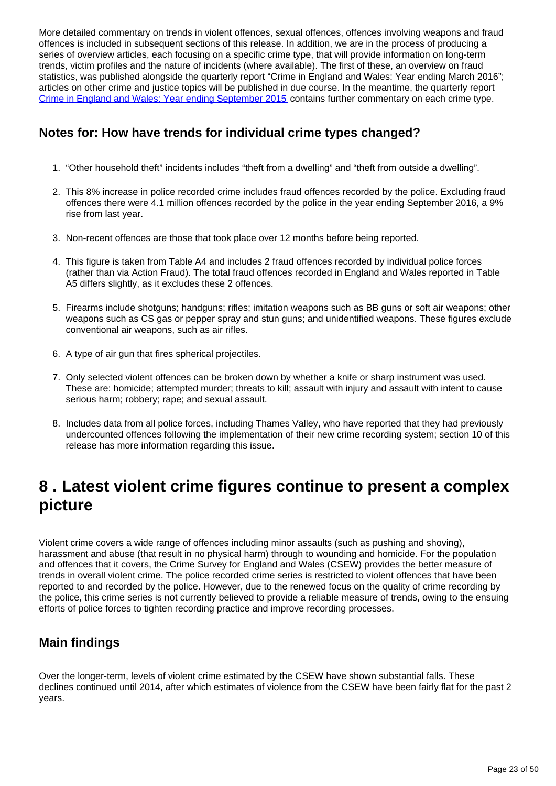More detailed commentary on trends in violent offences, sexual offences, offences involving weapons and fraud offences is included in subsequent sections of this release. In addition, we are in the process of producing a series of overview articles, each focusing on a specific crime type, that will provide information on long-term trends, victim profiles and the nature of incidents (where available). The first of these, an overview on fraud statistics, was published alongside the quarterly report "Crime in England and Wales: Year ending March 2016"; articles on other crime and justice topics will be published in due course. In the meantime, the quarterly report [Crime in England and Wales: Year ending September 2015](http://www.ons.gov.uk/peoplepopulationandcommunity/crimeandjustice/bulletins/crimeinenglandandwales/yearendingseptember2015) contains further commentary on each crime type.

### **Notes for: How have trends for individual crime types changed?**

- 1. "Other household theft" incidents includes "theft from a dwelling" and "theft from outside a dwelling".
- 2. This 8% increase in police recorded crime includes fraud offences recorded by the police. Excluding fraud offences there were 4.1 million offences recorded by the police in the year ending September 2016, a 9% rise from last year.
- 3. Non-recent offences are those that took place over 12 months before being reported.
- 4. This figure is taken from Table A4 and includes 2 fraud offences recorded by individual police forces (rather than via Action Fraud). The total fraud offences recorded in England and Wales reported in Table A5 differs slightly, as it excludes these 2 offences.
- 5. Firearms include shotguns; handguns; rifles; imitation weapons such as BB guns or soft air weapons; other weapons such as CS gas or pepper spray and stun guns; and unidentified weapons. These figures exclude conventional air weapons, such as air rifles.
- 6. A type of air gun that fires spherical projectiles.
- 7. Only selected violent offences can be broken down by whether a knife or sharp instrument was used. These are: homicide; attempted murder; threats to kill; assault with injury and assault with intent to cause serious harm; robbery; rape; and sexual assault.
- 8. Includes data from all police forces, including Thames Valley, who have reported that they had previously undercounted offences following the implementation of their new crime recording system; section 10 of this release has more information regarding this issue.

## <span id="page-22-0"></span>**8 . Latest violent crime figures continue to present a complex picture**

Violent crime covers a wide range of offences including minor assaults (such as pushing and shoving), harassment and abuse (that result in no physical harm) through to wounding and homicide. For the population and offences that it covers, the Crime Survey for England and Wales (CSEW) provides the better measure of trends in overall violent crime. The police recorded crime series is restricted to violent offences that have been reported to and recorded by the police. However, due to the renewed focus on the quality of crime recording by the police, this crime series is not currently believed to provide a reliable measure of trends, owing to the ensuing efforts of police forces to tighten recording practice and improve recording processes.

### **Main findings**

Over the longer-term, levels of violent crime estimated by the CSEW have shown substantial falls. These declines continued until 2014, after which estimates of violence from the CSEW have been fairly flat for the past 2 years.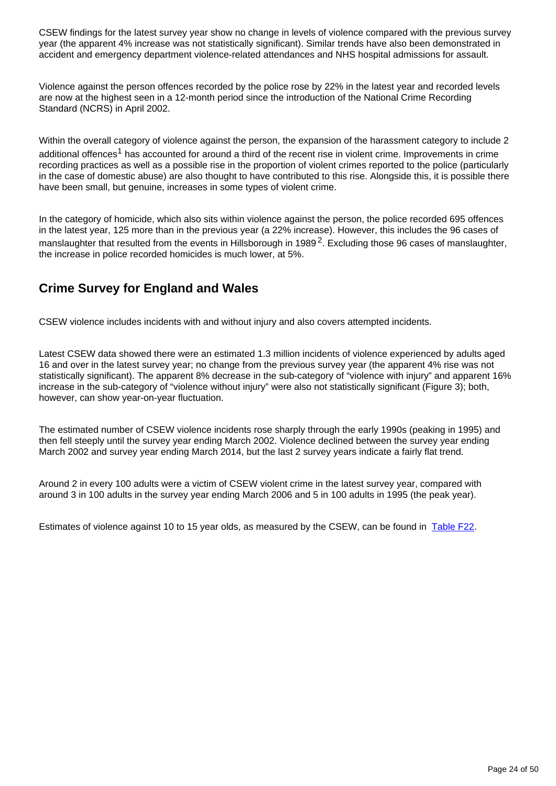CSEW findings for the latest survey year show no change in levels of violence compared with the previous survey year (the apparent 4% increase was not statistically significant). Similar trends have also been demonstrated in accident and emergency department violence-related attendances and NHS hospital admissions for assault.

Violence against the person offences recorded by the police rose by 22% in the latest year and recorded levels are now at the highest seen in a 12-month period since the introduction of the National Crime Recording Standard (NCRS) in April 2002.

Within the overall category of violence against the person, the expansion of the harassment category to include 2 additional offences<sup>1</sup> has accounted for around a third of the recent rise in violent crime. Improvements in crime recording practices as well as a possible rise in the proportion of violent crimes reported to the police (particularly in the case of domestic abuse) are also thought to have contributed to this rise. Alongside this, it is possible there have been small, but genuine, increases in some types of violent crime.

In the category of homicide, which also sits within violence against the person, the police recorded 695 offences in the latest year, 125 more than in the previous year (a 22% increase). However, this includes the 96 cases of manslaughter that resulted from the events in Hillsborough in 1989<sup>2</sup>. Excluding those 96 cases of manslaughter, the increase in police recorded homicides is much lower, at 5%.

### **Crime Survey for England and Wales**

CSEW violence includes incidents with and without injury and also covers attempted incidents.

Latest CSEW data showed there were an estimated 1.3 million incidents of violence experienced by adults aged 16 and over in the latest survey year; no change from the previous survey year (the apparent 4% rise was not statistically significant). The apparent 8% decrease in the sub-category of "violence with injury" and apparent 16% increase in the sub-category of "violence without injury" were also not statistically significant (Figure 3); both, however, can show year-on-year fluctuation.

The estimated number of CSEW violence incidents rose sharply through the early 1990s (peaking in 1995) and then fell steeply until the survey year ending March 2002. Violence declined between the survey year ending March 2002 and survey year ending March 2014, but the last 2 survey years indicate a fairly flat trend.

Around 2 in every 100 adults were a victim of CSEW violent crime in the latest survey year, compared with around 3 in 100 adults in the survey year ending March 2006 and 5 in 100 adults in 1995 (the peak year).

Estimates of violence against 10 to 15 year olds, as measured by the CSEW, can be found in [Table F22](https://www.ons.gov.uk/peoplepopulationandcommunity/crimeandjustice/datasets/crimeinenglandandwalesbulletintables).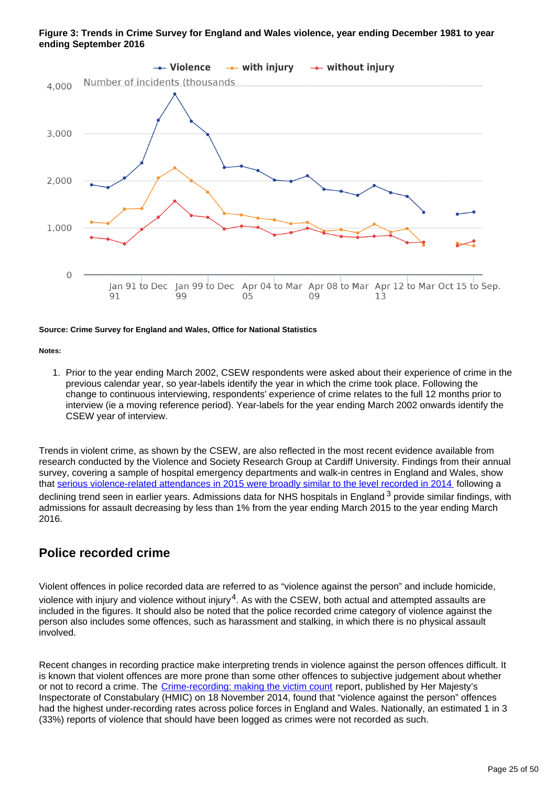#### **Figure 3: Trends in Crime Survey for England and Wales violence, year ending December 1981 to year ending September 2016**



#### **Source: Crime Survey for England and Wales, Office for National Statistics**

#### **Notes:**

1. Prior to the year ending March 2002, CSEW respondents were asked about their experience of crime in the previous calendar year, so year-labels identify the year in which the crime took place. Following the change to continuous interviewing, respondents' experience of crime relates to the full 12 months prior to interview (ie a moving reference period). Year-labels for the year ending March 2002 onwards identify the CSEW year of interview.

Trends in violent crime, as shown by the CSEW, are also reflected in the most recent evidence available from research conducted by the Violence and Society Research Group at Cardiff University. Findings from their annual survey, covering a sample of hospital emergency departments and walk-in centres in England and Wales, show that [serious violence-related attendances in 2015 were broadly similar to the level recorded in 2014](https://www.cardiff.ac.uk/__data/assets/pdf_file/0006/251673/NVSN-2015-annual-report.pdf) following a declining trend seen in earlier years. Admissions data for NHS hospitals in England  $3$  provide similar findings, with admissions for assault decreasing by less than 1% from the year ending March 2015 to the year ending March 2016.

#### **Police recorded crime**

Violent offences in police recorded data are referred to as "violence against the person" and include homicide, violence with injury and violence without injury<sup>4</sup>. As with the CSEW, both actual and attempted assaults are included in the figures. It should also be noted that the police recorded crime category of violence against the person also includes some offences, such as harassment and stalking, in which there is no physical assault involved.

Recent changes in recording practice make interpreting trends in violence against the person offences difficult. It is known that violent offences are more prone than some other offences to subjective judgement about whether or not to record a crime. The [Crime-recording: making the victim count](https://www.justiceinspectorates.gov.uk/hmic/publication/crime-recording-making-the-victim-count/) report, published by Her Majesty's Inspectorate of Constabulary (HMIC) on 18 November 2014, found that "violence against the person" offences had the highest under-recording rates across police forces in England and Wales. Nationally, an estimated 1 in 3 (33%) reports of violence that should have been logged as crimes were not recorded as such.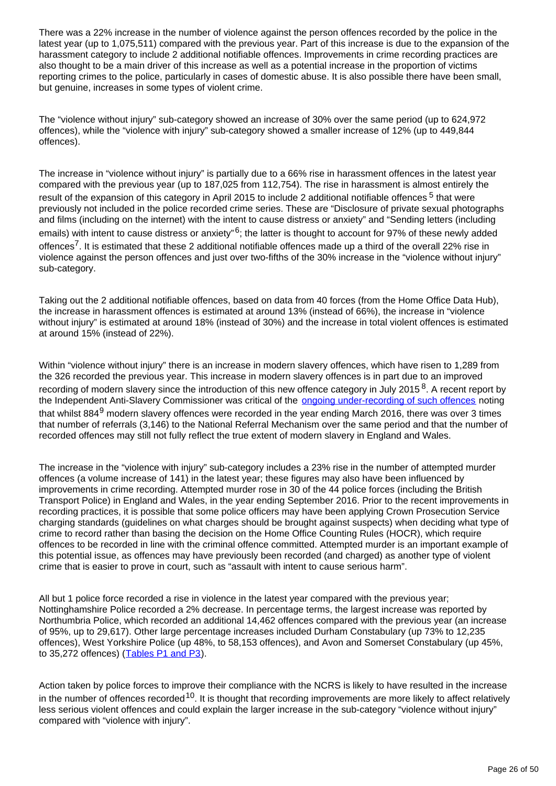There was a 22% increase in the number of violence against the person offences recorded by the police in the latest year (up to 1,075,511) compared with the previous year. Part of this increase is due to the expansion of the harassment category to include 2 additional notifiable offences. Improvements in crime recording practices are also thought to be a main driver of this increase as well as a potential increase in the proportion of victims reporting crimes to the police, particularly in cases of domestic abuse. It is also possible there have been small, but genuine, increases in some types of violent crime.

The "violence without injury" sub-category showed an increase of 30% over the same period (up to 624,972 offences), while the "violence with injury" sub-category showed a smaller increase of 12% (up to 449,844 offences).

The increase in "violence without injury" is partially due to a 66% rise in harassment offences in the latest year compared with the previous year (up to 187,025 from 112,754). The rise in harassment is almost entirely the result of the expansion of this category in April 2015 to include 2 additional notifiable offences<sup>5</sup> that were previously not included in the police recorded crime series. These are "Disclosure of private sexual photographs and films (including on the internet) with the intent to cause distress or anxiety" and "Sending letters (including emails) with intent to cause distress or anxiety" $6$ ; the latter is thought to account for 97% of these newly added offences<sup>7</sup>. It is estimated that these 2 additional notifiable offences made up a third of the overall 22% rise in violence against the person offences and just over two-fifths of the 30% increase in the "violence without injury" sub-category.

Taking out the 2 additional notifiable offences, based on data from 40 forces (from the Home Office Data Hub), the increase in harassment offences is estimated at around 13% (instead of 66%), the increase in "violence without injury" is estimated at around 18% (instead of 30%) and the increase in total violent offences is estimated at around 15% (instead of 22%).

Within "violence without injury" there is an increase in modern slavery offences, which have risen to 1,289 from the 326 recorded the previous year. This increase in modern slavery offences is in part due to an improved recording of modern slavery since the introduction of this new offence category in July 2015 $8$ . A recent report by the Independent Anti-Slavery Commissioner was critical of the **[ongoing under-recording of such offences](https://www.gov.uk/government/uploads/system/uploads/attachment_data/file/559571/IASC_Annual_Report_WebReadyFinal.pdf)** noting that whilst 884 $9$  modern slavery offences were recorded in the year ending March 2016, there was over 3 times that number of referrals (3,146) to the National Referral Mechanism over the same period and that the number of recorded offences may still not fully reflect the true extent of modern slavery in England and Wales.

The increase in the "violence with injury" sub-category includes a 23% rise in the number of attempted murder offences (a volume increase of 141) in the latest year; these figures may also have been influenced by improvements in crime recording. Attempted murder rose in 30 of the 44 police forces (including the British Transport Police) in England and Wales, in the year ending September 2016. Prior to the recent improvements in recording practices, it is possible that some police officers may have been applying Crown Prosecution Service charging standards (guidelines on what charges should be brought against suspects) when deciding what type of crime to record rather than basing the decision on the Home Office Counting Rules (HOCR), which require offences to be recorded in line with the criminal offence committed. Attempted murder is an important example of this potential issue, as offences may have previously been recorded (and charged) as another type of violent crime that is easier to prove in court, such as "assault with intent to cause serious harm".

All but 1 police force recorded a rise in violence in the latest year compared with the previous year; Nottinghamshire Police recorded a 2% decrease. In percentage terms, the largest increase was reported by Northumbria Police, which recorded an additional 14,462 offences compared with the previous year (an increase of 95%, up to 29,617). Other large percentage increases included Durham Constabulary (up 73% to 12,235 offences), West Yorkshire Police (up 48%, to 58,153 offences), and Avon and Somerset Constabulary (up 45%, to 35,272 offences) ([Tables P1 and P3](https://www.ons.gov.uk/peoplepopulationandcommunity/crimeandjustice/datasets/policeforceareadatatables)).

Action taken by police forces to improve their compliance with the NCRS is likely to have resulted in the increase in the number of offences recorded  $10$ . It is thought that recording improvements are more likely to affect relatively less serious violent offences and could explain the larger increase in the sub-category "violence without injury" compared with "violence with injury".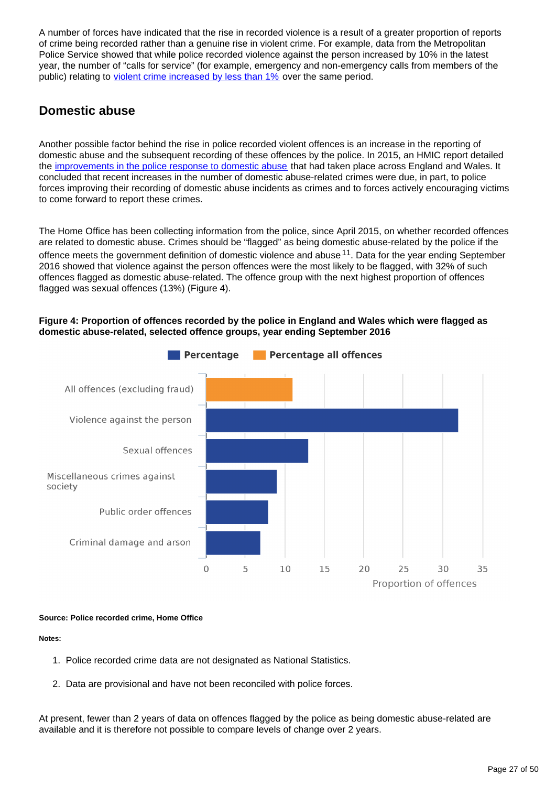A number of forces have indicated that the rise in recorded violence is a result of a greater proportion of reports of crime being recorded rather than a genuine rise in violent crime. For example, data from the Metropolitan Police Service showed that while police recorded violence against the person increased by 10% in the latest year, the number of "calls for service" (for example, emergency and non-emergency calls from members of the public) relating to [violent crime increased by less than 1%](http://data.london.gov.uk/dataset/metropolitan-police-service-recorded-crime-figures-and-associated-data) over the same period.

### **Domestic abuse**

Another possible factor behind the rise in police recorded violent offences is an increase in the reporting of domestic abuse and the subsequent recording of these offences by the police. In 2015, an HMIC report detailed the [improvements in the police response to domestic abuse](http://www.justiceinspectorates.gov.uk/hmic/publications/increasingly-everyones-business-a-progress-report-on-the-police-response-to-domestic-abuse/) that had taken place across England and Wales. It concluded that recent increases in the number of domestic abuse-related crimes were due, in part, to police forces improving their recording of domestic abuse incidents as crimes and to forces actively encouraging victims to come forward to report these crimes.

The Home Office has been collecting information from the police, since April 2015, on whether recorded offences are related to domestic abuse. Crimes should be "flagged" as being domestic abuse-related by the police if the offence meets the government definition of domestic violence and abuse  $11$ . Data for the year ending September 2016 showed that violence against the person offences were the most likely to be flagged, with 32% of such offences flagged as domestic abuse-related. The offence group with the next highest proportion of offences flagged was sexual offences (13%) (Figure 4).

#### **Figure 4: Proportion of offences recorded by the police in England and Wales which were flagged as domestic abuse-related, selected offence groups, year ending September 2016**



#### **Source: Police recorded crime, Home Office**

#### **Notes:**

- 1. Police recorded crime data are not designated as National Statistics.
- 2. Data are provisional and have not been reconciled with police forces.

At present, fewer than 2 years of data on offences flagged by the police as being domestic abuse-related are available and it is therefore not possible to compare levels of change over 2 years.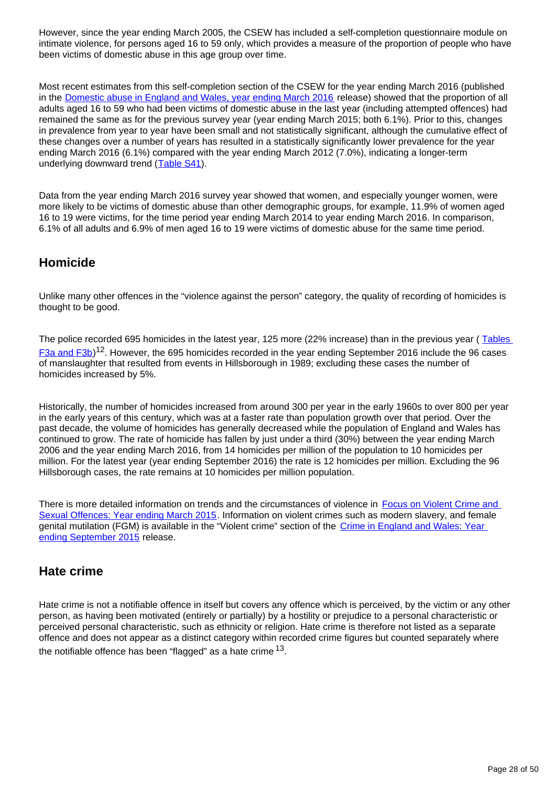However, since the year ending March 2005, the CSEW has included a self-completion questionnaire module on intimate violence, for persons aged 16 to 59 only, which provides a measure of the proportion of people who have been victims of domestic abuse in this age group over time.

Most recent estimates from this self-completion section of the CSEW for the year ending March 2016 (published in the [Domestic abuse in England and Wales, year ending March 2016](https://www.ons.gov.uk/peoplepopulationandcommunity/crimeandjustice/bulletins/domesticabuseinenglandandwales/yearendingmarch2016) release) showed that the proportion of all adults aged 16 to 59 who had been victims of domestic abuse in the last year (including attempted offences) had remained the same as for the previous survey year (year ending March 2015; both 6.1%). Prior to this, changes in prevalence from year to year have been small and not statistically significant, although the cumulative effect of these changes over a number of years has resulted in a statistically significantly lower prevalence for the year ending March 2016 (6.1%) compared with the year ending March 2012 (7.0%), indicating a longer-term underlying downward trend ([Table S41\)](https://www.ons.gov.uk/peoplepopulationandcommunity/crimeandjustice/datasets/crimeinenglandandwalesannualsupplementarytables).

Data from the year ending March 2016 survey year showed that women, and especially younger women, were more likely to be victims of domestic abuse than other demographic groups, for example, 11.9% of women aged 16 to 19 were victims, for the time period year ending March 2014 to year ending March 2016. In comparison, 6.1% of all adults and 6.9% of men aged 16 to 19 were victims of domestic abuse for the same time period.

#### **Homicide**

Unlike many other offences in the "violence against the person" category, the quality of recording of homicides is thought to be good.

The police recorded 695 homicides in the latest year, 125 more (22% increase) than in the previous year (Tables  $F$ 3a and  $F$ 3b)<sup>12</sup>. However, the 695 homicides recorded in the year ending September 2016 include the 96 cases of manslaughter that resulted from events in Hillsborough in 1989; excluding these cases the number of homicides increased by 5%.

Historically, the number of homicides increased from around 300 per year in the early 1960s to over 800 per year in the early years of this century, which was at a faster rate than population growth over that period. Over the past decade, the volume of homicides has generally decreased while the population of England and Wales has continued to grow. The rate of homicide has fallen by just under a third (30%) between the year ending March 2006 and the year ending March 2016, from 14 homicides per million of the population to 10 homicides per million. For the latest year (year ending September 2016) the rate is 12 homicides per million. Excluding the 96 Hillsborough cases, the rate remains at 10 homicides per million population.

There is more detailed information on trends and the circumstances of violence in Focus on Violent Crime and [Sexual Offences: Year ending March 2015.](http://www.ons.gov.uk/peoplepopulationandcommunity/crimeandjustice/compendium/focusonviolentcrimeandsexualoffences/yearendingmarch2015) Information on violent crimes such as modern slavery, and female genital mutilation (FGM) is available in the "Violent crime" section of the [Crime in England and Wales: Year](http://www.ons.gov.uk/peoplepopulationandcommunity/crimeandjustice/bulletins/crimeinenglandandwales/yearendingseptember2015)  [ending September 2015](http://www.ons.gov.uk/peoplepopulationandcommunity/crimeandjustice/bulletins/crimeinenglandandwales/yearendingseptember2015) release.

### **Hate crime**

Hate crime is not a notifiable offence in itself but covers any offence which is perceived, by the victim or any other person, as having been motivated (entirely or partially) by a hostility or prejudice to a personal characteristic or perceived personal characteristic, such as ethnicity or religion. Hate crime is therefore not listed as a separate offence and does not appear as a distinct category within recorded crime figures but counted separately where the notifiable offence has been "flagged" as a hate crime  $^{13}$ .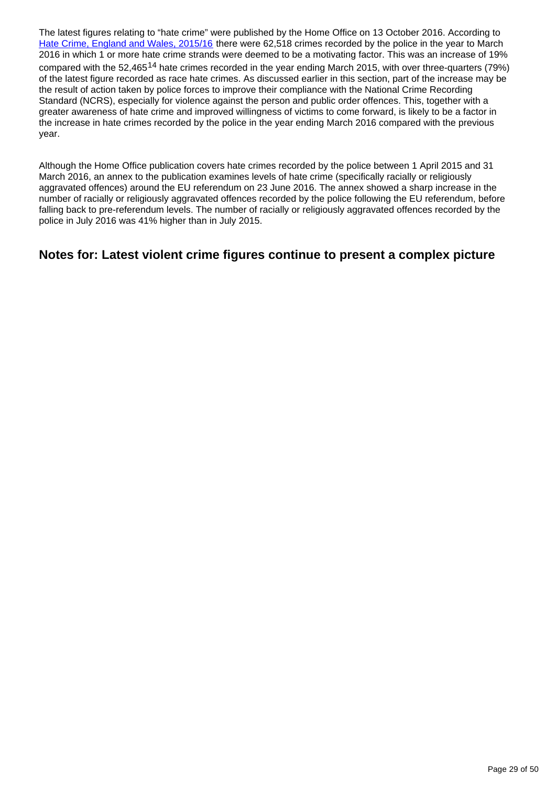The latest figures relating to "hate crime" were published by the Home Office on 13 October 2016. According to [Hate Crime, England and Wales, 2015/16](https://www.gov.uk/government/statistics/hate-crime-england-and-wales-2015-to-2016) there were 62,518 crimes recorded by the police in the year to March 2016 in which 1 or more hate crime strands were deemed to be a motivating factor. This was an increase of 19% compared with the 52,465<sup>14</sup> hate crimes recorded in the year ending March 2015, with over three-quarters (79%) of the latest figure recorded as race hate crimes. As discussed earlier in this section, part of the increase may be the result of action taken by police forces to improve their compliance with the National Crime Recording Standard (NCRS), especially for violence against the person and public order offences. This, together with a greater awareness of hate crime and improved willingness of victims to come forward, is likely to be a factor in the increase in hate crimes recorded by the police in the year ending March 2016 compared with the previous year.

Although the Home Office publication covers hate crimes recorded by the police between 1 April 2015 and 31 March 2016, an annex to the publication examines levels of hate crime (specifically racially or religiously aggravated offences) around the EU referendum on 23 June 2016. The annex showed a sharp increase in the number of racially or religiously aggravated offences recorded by the police following the EU referendum, before falling back to pre-referendum levels. The number of racially or religiously aggravated offences recorded by the police in July 2016 was 41% higher than in July 2015.

#### **Notes for: Latest violent crime figures continue to present a complex picture**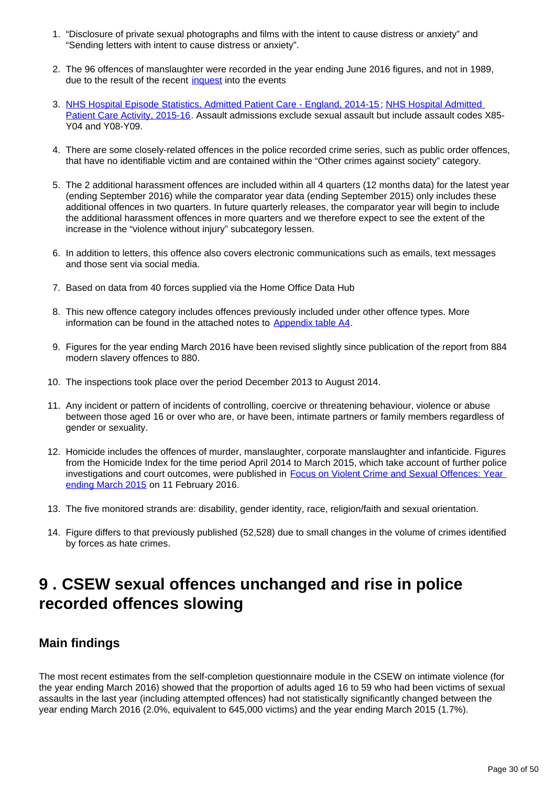- 1. "Disclosure of private sexual photographs and films with the intent to cause distress or anxiety" and "Sending letters with intent to cause distress or anxiety".
- 2. The 96 offences of manslaughter were recorded in the year ending June 2016 figures, and not in 1989, due to the result of the recent [inquest](http://hillsboroughinquests.independent.gov.uk/) into the events
- 3. [NHS Hospital Episode Statistics, Admitted Patient Care England, 2014-15;](http://content.digital.nhs.uk/catalogue/PUB19124) [NHS Hospital Admitted](http://www.content.digital.nhs.uk/catalogue/PUB22378)  [Patient Care Activity, 2015-16](http://www.content.digital.nhs.uk/catalogue/PUB22378). Assault admissions exclude sexual assault but include assault codes X85- Y04 and Y08-Y09.
- 4. There are some closely-related offences in the police recorded crime series, such as public order offences, that have no identifiable victim and are contained within the "Other crimes against society" category.
- 5. The 2 additional harassment offences are included within all 4 quarters (12 months data) for the latest year (ending September 2016) while the comparator year data (ending September 2015) only includes these additional offences in two quarters. In future quarterly releases, the comparator year will begin to include the additional harassment offences in more quarters and we therefore expect to see the extent of the increase in the "violence without injury" subcategory lessen.
- 6. In addition to letters, this offence also covers electronic communications such as emails, text messages and those sent via social media.
- 7. Based on data from 40 forces supplied via the Home Office Data Hub
- 8. This new offence category includes offences previously included under other offence types. More information can be found in the attached notes to [Appendix table A4](https://www.ons.gov.uk/peoplepopulationandcommunity/crimeandjustice/datasets/crimeinenglandandwalesappendixtables).
- 9. Figures for the year ending March 2016 have been revised slightly since publication of the report from 884 modern slavery offences to 880.
- 10. The inspections took place over the period December 2013 to August 2014.
- 11. Any incident or pattern of incidents of controlling, coercive or threatening behaviour, violence or abuse between those aged 16 or over who are, or have been, intimate partners or family members regardless of gender or sexuality.
- 12. Homicide includes the offences of murder, manslaughter, corporate manslaughter and infanticide. Figures from the Homicide Index for the time period April 2014 to March 2015, which take account of further police investigations and court outcomes, were published in Focus on Violent Crime and Sexual Offences: Year [ending March 2015](http://www.ons.gov.uk/ons/rel/crime-stats/crime-statistics/focus-on-violent-crime-and-sexual-offences--2014-to-2015/index.html) on 11 February 2016.
- 13. The five monitored strands are: disability, gender identity, race, religion/faith and sexual orientation.
- 14. Figure differs to that previously published (52,528) due to small changes in the volume of crimes identified by forces as hate crimes.

## <span id="page-29-0"></span>**9 . CSEW sexual offences unchanged and rise in police recorded offences slowing**

### **Main findings**

The most recent estimates from the self-completion questionnaire module in the CSEW on intimate violence (for the year ending March 2016) showed that the proportion of adults aged 16 to 59 who had been victims of sexual assaults in the last year (including attempted offences) had not statistically significantly changed between the year ending March 2016 (2.0%, equivalent to 645,000 victims) and the year ending March 2015 (1.7%).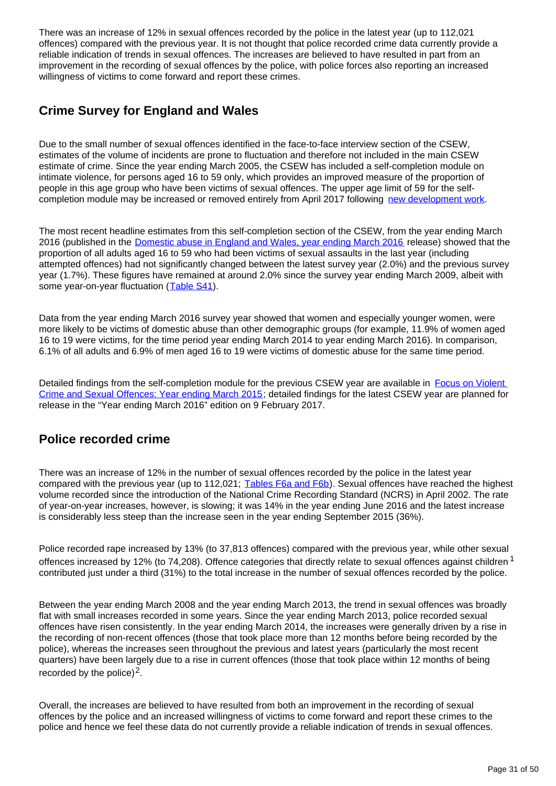There was an increase of 12% in sexual offences recorded by the police in the latest year (up to 112,021 offences) compared with the previous year. It is not thought that police recorded crime data currently provide a reliable indication of trends in sexual offences. The increases are believed to have resulted in part from an improvement in the recording of sexual offences by the police, with police forces also reporting an increased willingness of victims to come forward and report these crimes.

### **Crime Survey for England and Wales**

Due to the small number of sexual offences identified in the face-to-face interview section of the CSEW, estimates of the volume of incidents are prone to fluctuation and therefore not included in the main CSEW estimate of crime. Since the year ending March 2005, the CSEW has included a self-completion module on intimate violence, for persons aged 16 to 59 only, which provides an improved measure of the proportion of people in this age group who have been victims of sexual offences. The upper age limit of 59 for the selfcompletion module may be increased or removed entirely from April 2017 following [new development work](https://www.ons.gov.uk/peoplepopulationandcommunity/crimeandjustice/methodologies/improvingcrimestatisticsforenglandandwalesprogressupdate).

The most recent headline estimates from this self-completion section of the CSEW, from the year ending March 2016 (published in the [Domestic abuse in England and Wales, year ending March 2016](https://www.ons.gov.uk/peoplepopulationandcommunity/crimeandjustice/bulletins/domesticabuseinenglandandwales/yearendingmarch2016) release) showed that the proportion of all adults aged 16 to 59 who had been victims of sexual assaults in the last year (including attempted offences) had not significantly changed between the latest survey year (2.0%) and the previous survey year (1.7%). These figures have remained at around 2.0% since the survey year ending March 2009, albeit with some year-on-year fluctuation ([Table S41](https://www.ons.gov.uk/peoplepopulationandcommunity/crimeandjustice/datasets/crimeinenglandandwalesannualsupplementarytables)).

Data from the year ending March 2016 survey year showed that women and especially younger women, were more likely to be victims of domestic abuse than other demographic groups (for example, 11.9% of women aged 16 to 19 were victims, for the time period year ending March 2014 to year ending March 2016). In comparison, 6.1% of all adults and 6.9% of men aged 16 to 19 were victims of domestic abuse for the same time period.

Detailed findings from the self-completion module for the previous CSEW year are available in Focus on Violent [Crime and Sexual Offences: Year ending March 2015](http://www.ons.gov.uk/peoplepopulationandcommunity/crimeandjustice/compendium/focusonviolentcrimeandsexualoffences/yearendingmarch2015); detailed findings for the latest CSEW year are planned for release in the "Year ending March 2016" edition on 9 February 2017.

### **Police recorded crime**

There was an increase of 12% in the number of sexual offences recorded by the police in the latest year compared with the previous year (up to 112,021; [Tables F6a and F6b\)](https://www.ons.gov.uk/peoplepopulationandcommunity/crimeandjustice/datasets/crimeinenglandandwalesbulletintables). Sexual offences have reached the highest volume recorded since the introduction of the National Crime Recording Standard (NCRS) in April 2002. The rate of year-on-year increases, however, is slowing; it was 14% in the year ending June 2016 and the latest increase is considerably less steep than the increase seen in the year ending September 2015 (36%).

Police recorded rape increased by 13% (to 37,813 offences) compared with the previous year, while other sexual offences increased by 12% (to 74,208). Offence categories that directly relate to sexual offences against children <sup>1</sup> contributed just under a third (31%) to the total increase in the number of sexual offences recorded by the police.

Between the year ending March 2008 and the year ending March 2013, the trend in sexual offences was broadly flat with small increases recorded in some years. Since the year ending March 2013, police recorded sexual offences have risen consistently. In the year ending March 2014, the increases were generally driven by a rise in the recording of non-recent offences (those that took place more than 12 months before being recorded by the police), whereas the increases seen throughout the previous and latest years (particularly the most recent quarters) have been largely due to a rise in current offences (those that took place within 12 months of being recorded by the police) $2$ .

Overall, the increases are believed to have resulted from both an improvement in the recording of sexual offences by the police and an increased willingness of victims to come forward and report these crimes to the police and hence we feel these data do not currently provide a reliable indication of trends in sexual offences.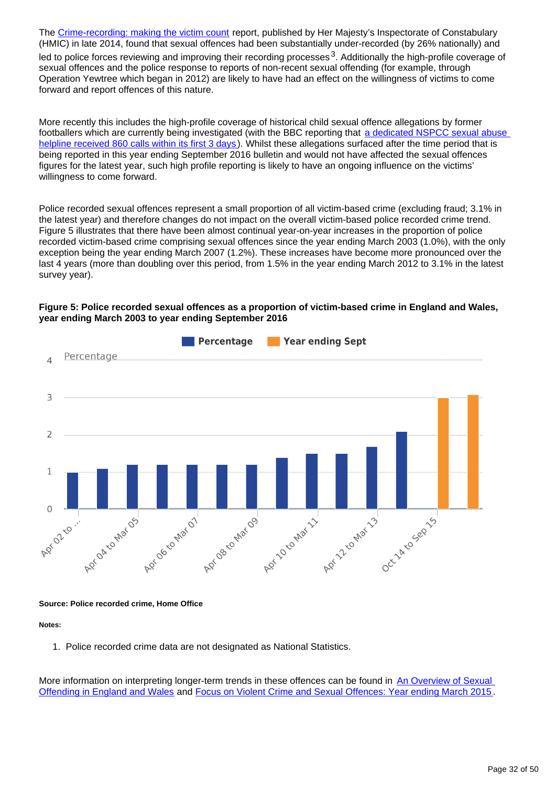The [Crime-recording: making the victim count](https://www.justiceinspectorates.gov.uk/hmic/publication/crime-recording-making-the-victim-count/) report, published by Her Majesty's Inspectorate of Constabulary (HMIC) in late 2014, found that sexual offences had been substantially under-recorded (by 26% nationally) and led to police forces reviewing and improving their recording processes  $3$ . Additionally the high-profile coverage of sexual offences and the police response to reports of non-recent sexual offending (for example, through Operation Yewtree which began in 2012) are likely to have had an effect on the willingness of victims to come forward and report offences of this nature.

More recently this includes the high-profile coverage of historical child sexual offence allegations by former footballers which are currently being investigated (with the BBC reporting that a dedicated NSPCC sexual abuse [helpline received 860 calls within its first 3 days](http://www.bbc.co.uk/sport/football/38211167)). Whilst these allegations surfaced after the time period that is being reported in this year ending September 2016 bulletin and would not have affected the sexual offences figures for the latest year, such high profile reporting is likely to have an ongoing influence on the victims' willingness to come forward.

Police recorded sexual offences represent a small proportion of all victim-based crime (excluding fraud; 3.1% in the latest year) and therefore changes do not impact on the overall victim-based police recorded crime trend. Figure 5 illustrates that there have been almost continual year-on-year increases in the proportion of police recorded victim-based crime comprising sexual offences since the year ending March 2003 (1.0%), with the only exception being the year ending March 2007 (1.2%). These increases have become more pronounced over the last 4 years (more than doubling over this period, from 1.5% in the year ending March 2012 to 3.1% in the latest survey year).

#### **Figure 5: Police recorded sexual offences as a proportion of victim-based crime in England and Wales, year ending March 2003 to year ending September 2016**



#### **Source: Police recorded crime, Home Office**

#### **Notes:**

1. Police recorded crime data are not designated as National Statistics.

More information on interpreting longer-term trends in these offences can be found in An Overview of Sexual [Offending in England and Wales](http://www.ons.gov.uk/ons/external-links/other-government-departments/moj/moj--sexual-offending-in-e-w.html) and [Focus on Violent Crime and Sexual Offences: Year ending March 2015](http://www.ons.gov.uk/peoplepopulationandcommunity/crimeandjustice/compendium/focusonviolentcrimeandsexualoffences/yearendingmarch2015) .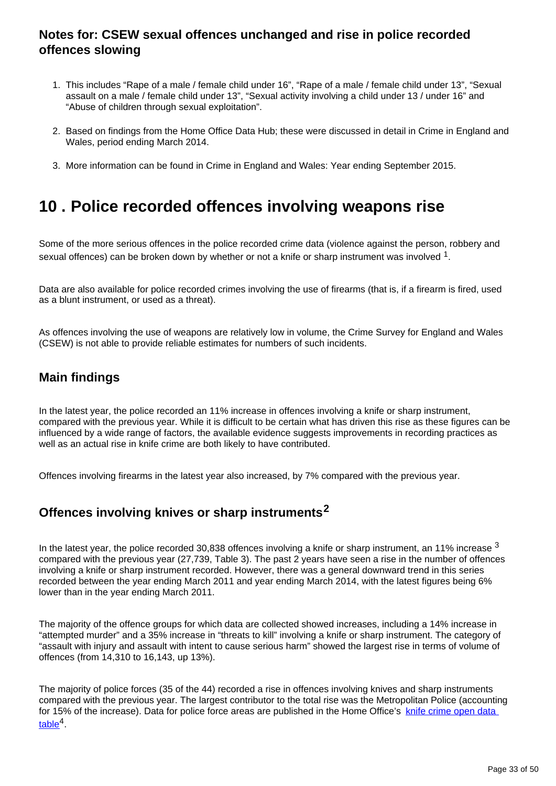### **Notes for: CSEW sexual offences unchanged and rise in police recorded offences slowing**

- 1. This includes "Rape of a male / female child under 16", "Rape of a male / female child under 13", "Sexual assault on a male / female child under 13", "Sexual activity involving a child under 13 / under 16" and "Abuse of children through sexual exploitation".
- 2. Based on findings from the Home Office Data Hub; these were discussed in detail in Crime in England and Wales, period ending March 2014.
- 3. More information can be found in Crime in England and Wales: Year ending September 2015.

## <span id="page-32-0"></span>**10 . Police recorded offences involving weapons rise**

Some of the more serious offences in the police recorded crime data (violence against the person, robbery and sexual offences) can be broken down by whether or not a knife or sharp instrument was involved  $^1$ .

Data are also available for police recorded crimes involving the use of firearms (that is, if a firearm is fired, used as a blunt instrument, or used as a threat).

As offences involving the use of weapons are relatively low in volume, the Crime Survey for England and Wales (CSEW) is not able to provide reliable estimates for numbers of such incidents.

### **Main findings**

In the latest year, the police recorded an 11% increase in offences involving a knife or sharp instrument, compared with the previous year. While it is difficult to be certain what has driven this rise as these figures can be influenced by a wide range of factors, the available evidence suggests improvements in recording practices as well as an actual rise in knife crime are both likely to have contributed.

Offences involving firearms in the latest year also increased, by 7% compared with the previous year.

### **Offences involving knives or sharp instruments<sup>2</sup>**

In the latest year, the police recorded 30,838 offences involving a knife or sharp instrument, an 11% increase  $3$ compared with the previous year (27,739, Table 3). The past 2 years have seen a rise in the number of offences involving a knife or sharp instrument recorded. However, there was a general downward trend in this series recorded between the year ending March 2011 and year ending March 2014, with the latest figures being 6% lower than in the year ending March 2011.

The majority of the offence groups for which data are collected showed increases, including a 14% increase in "attempted murder" and a 35% increase in "threats to kill" involving a knife or sharp instrument. The category of "assault with injury and assault with intent to cause serious harm" showed the largest rise in terms of volume of offences (from 14,310 to 16,143, up 13%).

The majority of police forces (35 of the 44) recorded a rise in offences involving knives and sharp instruments compared with the previous year. The largest contributor to the total rise was the Metropolitan Police (accounting for 15% of the increase). Data for police force areas are published in the Home Office's knife crime open data  $table<sup>4</sup>$  $table<sup>4</sup>$ .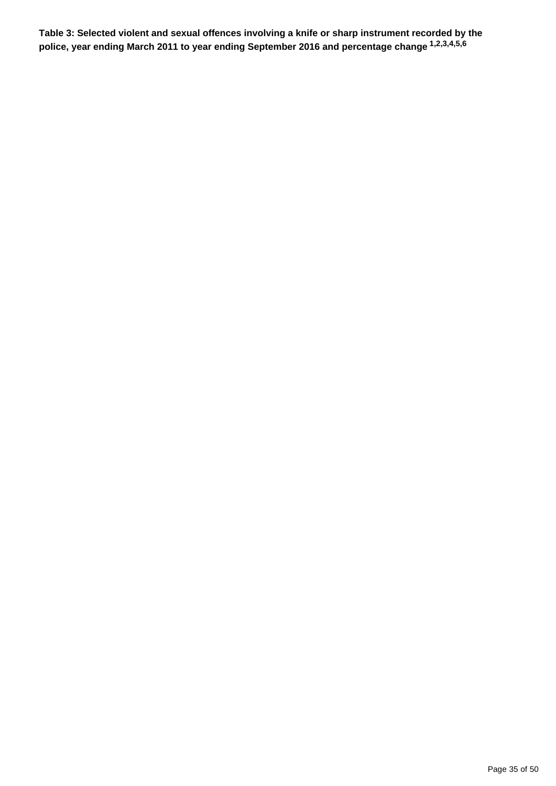**Table 3: Selected violent and sexual offences involving a knife or sharp instrument recorded by the police, year ending March 2011 to year ending September 2016 and percentage change 1,2,3,4,5,6**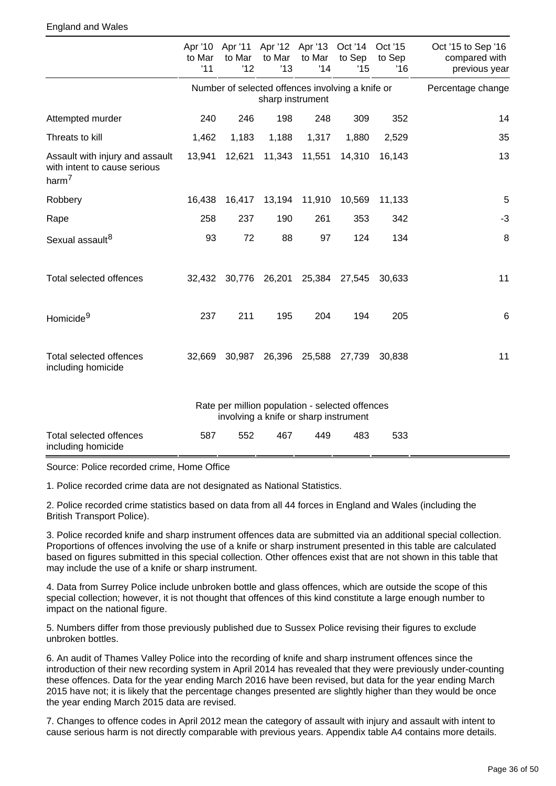#### England and Wales

|                                                                                      | to Mar<br>'11 | to Mar<br>'12 | to Mar<br>'13                         | to Mar<br>'14 | Apr '10 Apr '11 Apr '12 Apr '13 Oct '14 Oct '15<br>to Sep<br>'15 | to Sep<br>'16 | Oct '15 to Sep '16<br>compared with<br>previous year |
|--------------------------------------------------------------------------------------|---------------|---------------|---------------------------------------|---------------|------------------------------------------------------------------|---------------|------------------------------------------------------|
|                                                                                      |               |               | sharp instrument                      |               | Number of selected offences involving a knife or                 |               | Percentage change                                    |
| Attempted murder                                                                     | 240           | 246           | 198                                   | 248           | 309                                                              | 352           | 14                                                   |
| Threats to kill                                                                      | 1,462         | 1,183         | 1,188                                 | 1,317         | 1,880                                                            | 2,529         | 35                                                   |
| Assault with injury and assault<br>with intent to cause serious<br>harm <sup>7</sup> | 13,941        | 12,621        | 11,343                                | 11,551        | 14,310                                                           | 16,143        | 13                                                   |
| Robbery                                                                              | 16,438        | 16,417        |                                       | 13,194 11,910 | 10,569                                                           | 11,133        | 5                                                    |
| Rape                                                                                 | 258           | 237           | 190                                   | 261           | 353                                                              | 342           | $-3$                                                 |
| Sexual assault <sup>8</sup>                                                          | 93            | 72            | 88                                    | 97            | 124                                                              | 134           | 8                                                    |
| Total selected offences                                                              | 32,432        |               | 30,776 26,201                         | 25,384        | 27,545                                                           | 30,633        | 11                                                   |
| Homicide <sup>9</sup>                                                                | 237           | 211           | 195                                   | 204           | 194                                                              | 205           | $\,6$                                                |
| Total selected offences<br>including homicide                                        | 32,669        | 30,987        | 26,396                                | 25,588        | 27,739                                                           | 30,838        | 11                                                   |
|                                                                                      |               |               | involving a knife or sharp instrument |               | Rate per million population - selected offences                  |               |                                                      |
| <b>Total selected offences</b><br>including homicide                                 | 587           | 552           | 467                                   | 449           | 483                                                              | 533           |                                                      |

Source: Police recorded crime, Home Office

1. Police recorded crime data are not designated as National Statistics.

2. Police recorded crime statistics based on data from all 44 forces in England and Wales (including the British Transport Police).

3. Police recorded knife and sharp instrument offences data are submitted via an additional special collection. Proportions of offences involving the use of a knife or sharp instrument presented in this table are calculated based on figures submitted in this special collection. Other offences exist that are not shown in this table that may include the use of a knife or sharp instrument.

4. Data from Surrey Police include unbroken bottle and glass offences, which are outside the scope of this special collection; however, it is not thought that offences of this kind constitute a large enough number to impact on the national figure.

5. Numbers differ from those previously published due to Sussex Police revising their figures to exclude unbroken bottles.

6. An audit of Thames Valley Police into the recording of knife and sharp instrument offences since the introduction of their new recording system in April 2014 has revealed that they were previously under-counting these offences. Data for the year ending March 2016 have been revised, but data for the year ending March 2015 have not; it is likely that the percentage changes presented are slightly higher than they would be once the year ending March 2015 data are revised.

7. Changes to offence codes in April 2012 mean the category of assault with injury and assault with intent to cause serious harm is not directly comparable with previous years. Appendix table A4 contains more details.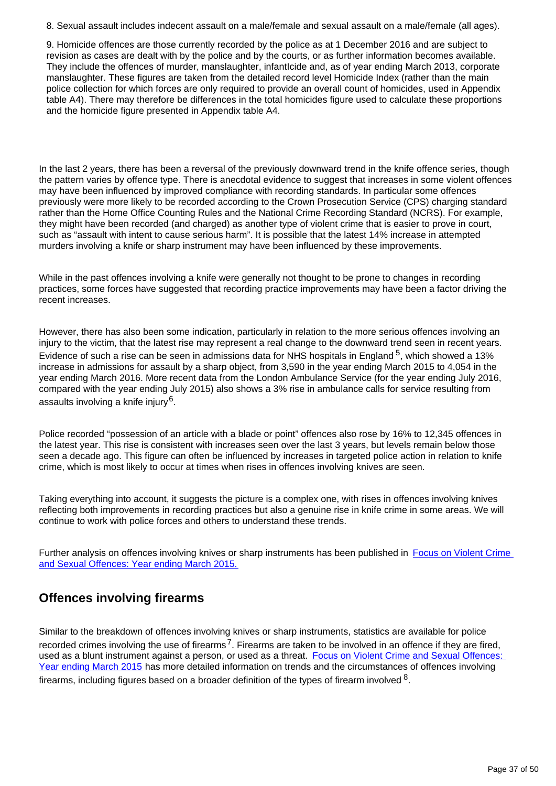8. Sexual assault includes indecent assault on a male/female and sexual assault on a male/female (all ages).

9. Homicide offences are those currently recorded by the police as at 1 December 2016 and are subject to revision as cases are dealt with by the police and by the courts, or as further information becomes available. They include the offences of murder, manslaughter, infantIcide and, as of year ending March 2013, corporate manslaughter. These figures are taken from the detailed record level Homicide Index (rather than the main police collection for which forces are only required to provide an overall count of homicides, used in Appendix table A4). There may therefore be differences in the total homicides figure used to calculate these proportions and the homicide figure presented in Appendix table A4.

In the last 2 years, there has been a reversal of the previously downward trend in the knife offence series, though the pattern varies by offence type. There is anecdotal evidence to suggest that increases in some violent offences may have been influenced by improved compliance with recording standards. In particular some offences previously were more likely to be recorded according to the Crown Prosecution Service (CPS) charging standard rather than the Home Office Counting Rules and the National Crime Recording Standard (NCRS). For example, they might have been recorded (and charged) as another type of violent crime that is easier to prove in court, such as "assault with intent to cause serious harm". It is possible that the latest 14% increase in attempted murders involving a knife or sharp instrument may have been influenced by these improvements.

While in the past offences involving a knife were generally not thought to be prone to changes in recording practices, some forces have suggested that recording practice improvements may have been a factor driving the recent increases.

However, there has also been some indication, particularly in relation to the more serious offences involving an injury to the victim, that the latest rise may represent a real change to the downward trend seen in recent years. Evidence of such a rise can be seen in admissions data for NHS hospitals in England  $5$ , which showed a 13% increase in admissions for assault by a sharp object, from 3,590 in the year ending March 2015 to 4,054 in the year ending March 2016. More recent data from the London Ambulance Service (for the year ending July 2016, compared with the year ending July 2015) also shows a 3% rise in ambulance calls for service resulting from assaults involving a knife injury $^6$ .

Police recorded "possession of an article with a blade or point" offences also rose by 16% to 12,345 offences in the latest year. This rise is consistent with increases seen over the last 3 years, but levels remain below those seen a decade ago. This figure can often be influenced by increases in targeted police action in relation to knife crime, which is most likely to occur at times when rises in offences involving knives are seen.

Taking everything into account, it suggests the picture is a complex one, with rises in offences involving knives reflecting both improvements in recording practices but also a genuine rise in knife crime in some areas. We will continue to work with police forces and others to understand these trends.

Further analysis on offences involving knives or sharp instruments has been published in Focus on Violent Crime [and Sexual Offences: Year ending March 2015.](http://www.ons.gov.uk/peoplepopulationandcommunity/crimeandjustice/compendium/focusonviolentcrimeandsexualoffences/yearendingmarch2015)

### **Offences involving firearms**

Similar to the breakdown of offences involving knives or sharp instruments, statistics are available for police recorded crimes involving the use of firearms<sup>7</sup>. Firearms are taken to be involved in an offence if they are fired, used as a blunt instrument against a person, or used as a threat. Focus on Violent Crime and Sexual Offences: [Year ending March 2015](http://www.ons.gov.uk/peoplepopulationandcommunity/crimeandjustice/compendium/focusonviolentcrimeandsexualoffences/yearendingmarch2015) has more detailed information on trends and the circumstances of offences involving firearms, including figures based on a broader definition of the types of firearm involved  $^8$ .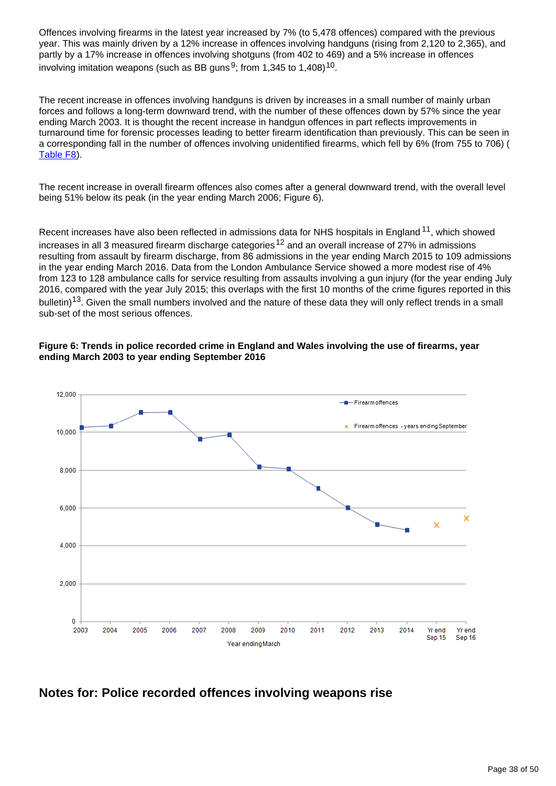Offences involving firearms in the latest year increased by 7% (to 5,478 offences) compared with the previous year. This was mainly driven by a 12% increase in offences involving handguns (rising from 2,120 to 2,365), and partly by a 17% increase in offences involving shotguns (from 402 to 469) and a 5% increase in offences involving imitation weapons (such as BB guns  $9$ ; from 1,345 to 1,408) $^{10}$ .

The recent increase in offences involving handguns is driven by increases in a small number of mainly urban forces and follows a long-term downward trend, with the number of these offences down by 57% since the year ending March 2003. It is thought the recent increase in handgun offences in part reflects improvements in turnaround time for forensic processes leading to better firearm identification than previously. This can be seen in a corresponding fall in the number of offences involving unidentified firearms, which fell by 6% (from 755 to 706) ( [Table F8\)](https://www.ons.gov.uk/peoplepopulationandcommunity/crimeandjustice/datasets/crimeinenglandandwalesbulletintables).

The recent increase in overall firearm offences also comes after a general downward trend, with the overall level being 51% below its peak (in the year ending March 2006; Figure 6).

Recent increases have also been reflected in admissions data for NHS hospitals in England  $11$ , which showed increases in all 3 measured firearm discharge categories<sup>12</sup> and an overall increase of 27% in admissions resulting from assault by firearm discharge, from 86 admissions in the year ending March 2015 to 109 admissions in the year ending March 2016. Data from the London Ambulance Service showed a more modest rise of 4% from 123 to 128 ambulance calls for service resulting from assaults involving a gun injury (for the year ending July 2016, compared with the year July 2015; this overlaps with the first 10 months of the crime figures reported in this bulletin)<sup>13</sup>. Given the small numbers involved and the nature of these data they will only reflect trends in a small sub-set of the most serious offences.

#### **Figure 6: Trends in police recorded crime in England and Wales involving the use of firearms, year ending March 2003 to year ending September 2016**



#### **Notes for: Police recorded offences involving weapons rise**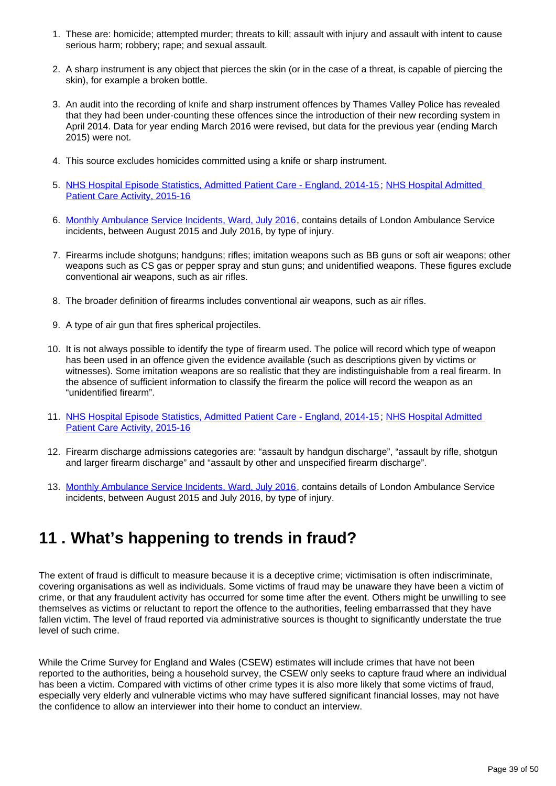- 1. These are: homicide; attempted murder; threats to kill; assault with injury and assault with intent to cause serious harm; robbery; rape; and sexual assault.
- 2. A sharp instrument is any object that pierces the skin (or in the case of a threat, is capable of piercing the skin), for example a broken bottle.
- 3. An audit into the recording of knife and sharp instrument offences by Thames Valley Police has revealed that they had been under-counting these offences since the introduction of their new recording system in April 2014. Data for year ending March 2016 were revised, but data for the previous year (ending March 2015) were not.
- 4. This source excludes homicides committed using a knife or sharp instrument.
- 5. [NHS Hospital Episode Statistics, Admitted Patient Care England, 2014-15;](http://content.digital.nhs.uk/catalogue/PUB19124) [NHS Hospital Admitted](http://www.content.digital.nhs.uk/catalogue/PUB22378)  [Patient Care Activity, 2015-16](http://www.content.digital.nhs.uk/catalogue/PUB22378)
- 6. [Monthly Ambulance Service Incidents, Ward, July 2016,](https://data.london.gov.uk/dataset/monthly-ambulance-service-incidents-ward) contains details of London Ambulance Service incidents, between August 2015 and July 2016, by type of injury.
- 7. Firearms include shotguns; handguns; rifles; imitation weapons such as BB guns or soft air weapons; other weapons such as CS gas or pepper spray and stun guns; and unidentified weapons. These figures exclude conventional air weapons, such as air rifles.
- 8. The broader definition of firearms includes conventional air weapons, such as air rifles.
- 9. A type of air gun that fires spherical projectiles.
- 10. It is not always possible to identify the type of firearm used. The police will record which type of weapon has been used in an offence given the evidence available (such as descriptions given by victims or witnesses). Some imitation weapons are so realistic that they are indistinguishable from a real firearm. In the absence of sufficient information to classify the firearm the police will record the weapon as an "unidentified firearm".
- 11. [NHS Hospital Episode Statistics, Admitted Patient Care England, 2014-15;](http://content.digital.nhs.uk/catalogue/PUB19124) NHS Hospital Admitted [Patient Care Activity, 2015-16](http://www.content.digital.nhs.uk/catalogue/PUB22378)
- 12. Firearm discharge admissions categories are: "assault by handgun discharge", "assault by rifle, shotgun and larger firearm discharge" and "assault by other and unspecified firearm discharge".
- 13. [Monthly Ambulance Service Incidents, Ward, July 2016,](https://data.london.gov.uk/dataset/monthly-ambulance-service-incidents-ward) contains details of London Ambulance Service incidents, between August 2015 and July 2016, by type of injury.

## <span id="page-38-0"></span>**11 . What's happening to trends in fraud?**

The extent of fraud is difficult to measure because it is a deceptive crime; victimisation is often indiscriminate, covering organisations as well as individuals. Some victims of fraud may be unaware they have been a victim of crime, or that any fraudulent activity has occurred for some time after the event. Others might be unwilling to see themselves as victims or reluctant to report the offence to the authorities, feeling embarrassed that they have fallen victim. The level of fraud reported via administrative sources is thought to significantly understate the true level of such crime.

While the Crime Survey for England and Wales (CSEW) estimates will include crimes that have not been reported to the authorities, being a household survey, the CSEW only seeks to capture fraud where an individual has been a victim. Compared with victims of other crime types it is also more likely that some victims of fraud, especially very elderly and vulnerable victims who may have suffered significant financial losses, may not have the confidence to allow an interviewer into their home to conduct an interview.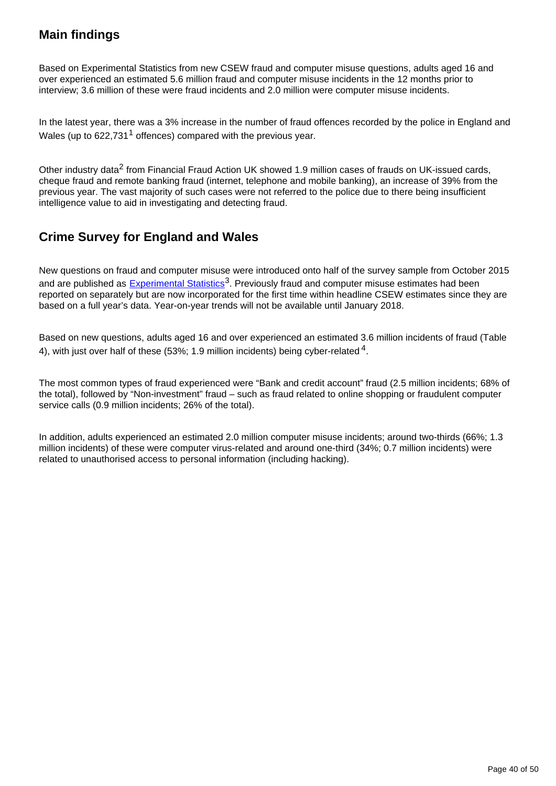### **Main findings**

Based on Experimental Statistics from new CSEW fraud and computer misuse questions, adults aged 16 and over experienced an estimated 5.6 million fraud and computer misuse incidents in the 12 months prior to interview; 3.6 million of these were fraud incidents and 2.0 million were computer misuse incidents.

In the latest year, there was a 3% increase in the number of fraud offences recorded by the police in England and Wales (up to  $622.731<sup>1</sup>$  offences) compared with the previous year.

Other industry data<sup>2</sup> from Financial Fraud Action UK showed 1.9 million cases of frauds on UK-issued cards, cheque fraud and remote banking fraud (internet, telephone and mobile banking), an increase of 39% from the previous year. The vast majority of such cases were not referred to the police due to there being insufficient intelligence value to aid in investigating and detecting fraud.

### **Crime Survey for England and Wales**

New questions on fraud and computer misuse were introduced onto half of the survey sample from October 2015 and are published as **[Experimental Statistics](https://www.ons.gov.uk/methodology/methodologytopicsandstatisticalconcepts/guidetoexperimentalstatistics)**<sup>3</sup>. Previously fraud and computer misuse estimates had been reported on separately but are now incorporated for the first time within headline CSEW estimates since they are based on a full year's data. Year-on-year trends will not be available until January 2018.

Based on new questions, adults aged 16 and over experienced an estimated 3.6 million incidents of fraud (Table 4), with just over half of these (53%; 1.9 million incidents) being cyber-related  $4$ .

The most common types of fraud experienced were "Bank and credit account" fraud (2.5 million incidents; 68% of the total), followed by "Non-investment" fraud – such as fraud related to online shopping or fraudulent computer service calls (0.9 million incidents; 26% of the total).

In addition, adults experienced an estimated 2.0 million computer misuse incidents; around two-thirds (66%; 1.3 million incidents) of these were computer virus-related and around one-third (34%; 0.7 million incidents) were related to unauthorised access to personal information (including hacking).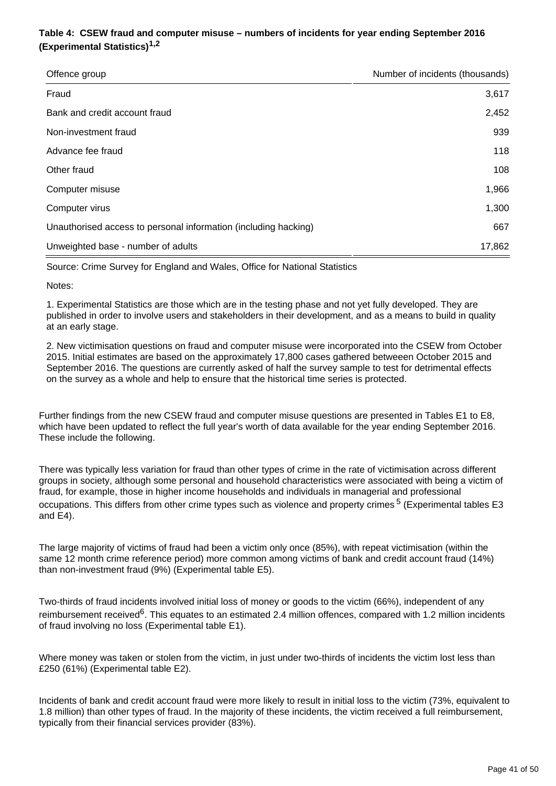#### **Table 4: CSEW fraud and computer misuse – numbers of incidents for year ending September 2016 (Experimental Statistics)1,2**

| Offence group                                                   | Number of incidents (thousands) |
|-----------------------------------------------------------------|---------------------------------|
| Fraud                                                           | 3,617                           |
| Bank and credit account fraud                                   | 2,452                           |
| Non-investment fraud                                            | 939                             |
| Advance fee fraud                                               | 118                             |
| Other fraud                                                     | 108                             |
| Computer misuse                                                 | 1,966                           |
| Computer virus                                                  | 1,300                           |
| Unauthorised access to personal information (including hacking) | 667                             |
| Unweighted base - number of adults                              | 17,862                          |

Source: Crime Survey for England and Wales, Office for National Statistics

Notes:

1. Experimental Statistics are those which are in the testing phase and not yet fully developed. They are published in order to involve users and stakeholders in their development, and as a means to build in quality at an early stage.

2. New victimisation questions on fraud and computer misuse were incorporated into the CSEW from October 2015. Initial estimates are based on the approximately 17,800 cases gathered betweeen October 2015 and September 2016. The questions are currently asked of half the survey sample to test for detrimental effects on the survey as a whole and help to ensure that the historical time series is protected.

Further findings from the new CSEW fraud and computer misuse questions are presented in Tables E1 to E8, which have been updated to reflect the full year's worth of data available for the year ending September 2016. These include the following.

There was typically less variation for fraud than other types of crime in the rate of victimisation across different groups in society, although some personal and household characteristics were associated with being a victim of fraud, for example, those in higher income households and individuals in managerial and professional occupations. This differs from other crime types such as violence and property crimes <sup>5</sup> (Experimental tables E3 and E4).

The large majority of victims of fraud had been a victim only once (85%), with repeat victimisation (within the same 12 month crime reference period) more common among victims of bank and credit account fraud (14%) than non-investment fraud (9%) (Experimental table E5).

Two-thirds of fraud incidents involved initial loss of money or goods to the victim (66%), independent of any reimbursement received<sup>6</sup>. This equates to an estimated 2.4 million offences, compared with 1.2 million incidents of fraud involving no loss (Experimental table E1).

Where money was taken or stolen from the victim, in just under two-thirds of incidents the victim lost less than £250 (61%) (Experimental table E2).

Incidents of bank and credit account fraud were more likely to result in initial loss to the victim (73%, equivalent to 1.8 million) than other types of fraud. In the majority of these incidents, the victim received a full reimbursement, typically from their financial services provider (83%).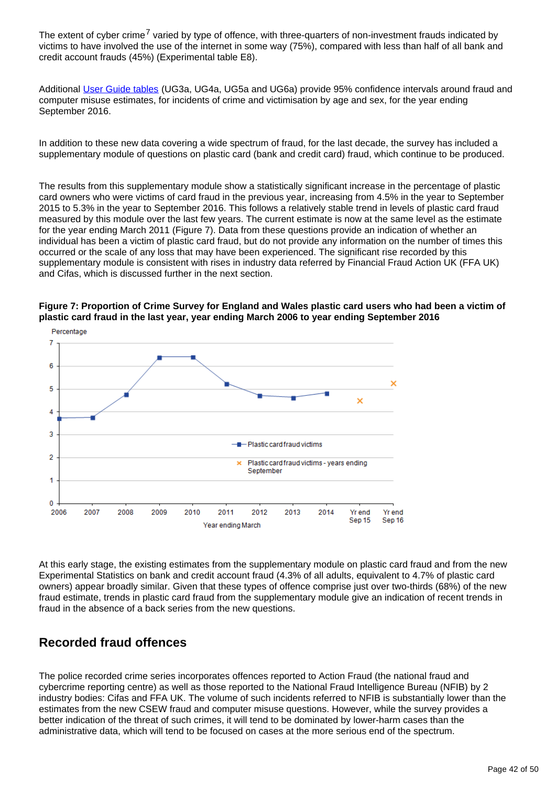The extent of cyber crime<sup>7</sup> varied by type of offence, with three-quarters of non-investment frauds indicated by victims to have involved the use of the internet in some way (75%), compared with less than half of all bank and credit account frauds (45%) (Experimental table E8).

Additional [User Guide tables](https://www.ons.gov.uk/peoplepopulationandcommunity/crimeandjustice/methodologies/crimeandjusticemethodology#user-guides) (UG3a, UG4a, UG5a and UG6a) provide 95% confidence intervals around fraud and computer misuse estimates, for incidents of crime and victimisation by age and sex, for the year ending September 2016.

In addition to these new data covering a wide spectrum of fraud, for the last decade, the survey has included a supplementary module of questions on plastic card (bank and credit card) fraud, which continue to be produced.

The results from this supplementary module show a statistically significant increase in the percentage of plastic card owners who were victims of card fraud in the previous year, increasing from 4.5% in the year to September 2015 to 5.3% in the year to September 2016. This follows a relatively stable trend in levels of plastic card fraud measured by this module over the last few years. The current estimate is now at the same level as the estimate for the year ending March 2011 (Figure 7). Data from these questions provide an indication of whether an individual has been a victim of plastic card fraud, but do not provide any information on the number of times this occurred or the scale of any loss that may have been experienced. The significant rise recorded by this supplementary module is consistent with rises in industry data referred by Financial Fraud Action UK (FFA UK) and Cifas, which is discussed further in the next section.



**Figure 7: Proportion of Crime Survey for England and Wales plastic card users who had been a victim of plastic card fraud in the last year, year ending March 2006 to year ending September 2016**

At this early stage, the existing estimates from the supplementary module on plastic card fraud and from the new Experimental Statistics on bank and credit account fraud (4.3% of all adults, equivalent to 4.7% of plastic card owners) appear broadly similar. Given that these types of offence comprise just over two-thirds (68%) of the new fraud estimate, trends in plastic card fraud from the supplementary module give an indication of recent trends in fraud in the absence of a back series from the new questions.

#### **Recorded fraud offences**

The police recorded crime series incorporates offences reported to Action Fraud (the national fraud and cybercrime reporting centre) as well as those reported to the National Fraud Intelligence Bureau (NFIB) by 2 industry bodies: Cifas and FFA UK. The volume of such incidents referred to NFIB is substantially lower than the estimates from the new CSEW fraud and computer misuse questions. However, while the survey provides a better indication of the threat of such crimes, it will tend to be dominated by lower-harm cases than the administrative data, which will tend to be focused on cases at the more serious end of the spectrum.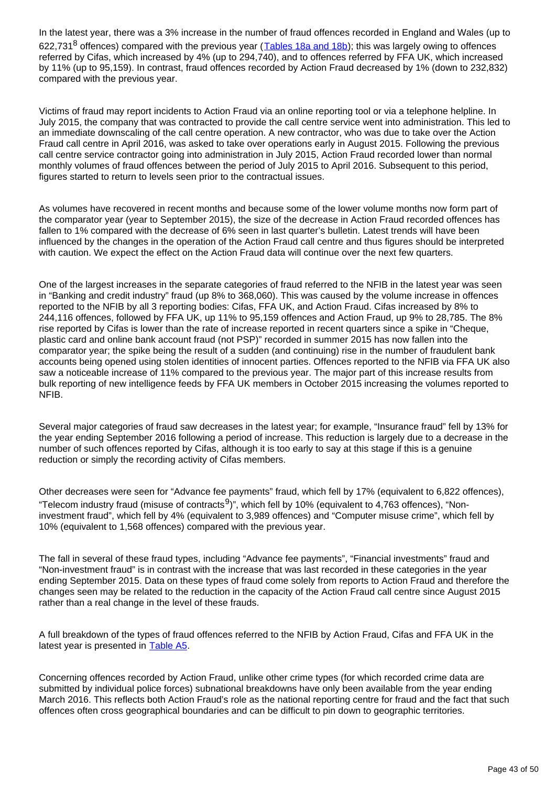In the latest year, there was a 3% increase in the number of fraud offences recorded in England and Wales (up to 622,731<sup>8</sup> offences) compared with the previous year ( $\overline{I}$ ables 18a and 18b); this was largely owing to offences referred by Cifas, which increased by 4% (up to 294,740), and to offences referred by FFA UK, which increased by 11% (up to 95,159). In contrast, fraud offences recorded by Action Fraud decreased by 1% (down to 232,832) compared with the previous year.

Victims of fraud may report incidents to Action Fraud via an online reporting tool or via a telephone helpline. In July 2015, the company that was contracted to provide the call centre service went into administration. This led to an immediate downscaling of the call centre operation. A new contractor, who was due to take over the Action Fraud call centre in April 2016, was asked to take over operations early in August 2015. Following the previous call centre service contractor going into administration in July 2015, Action Fraud recorded lower than normal monthly volumes of fraud offences between the period of July 2015 to April 2016. Subsequent to this period, figures started to return to levels seen prior to the contractual issues.

As volumes have recovered in recent months and because some of the lower volume months now form part of the comparator year (year to September 2015), the size of the decrease in Action Fraud recorded offences has fallen to 1% compared with the decrease of 6% seen in last quarter's bulletin. Latest trends will have been influenced by the changes in the operation of the Action Fraud call centre and thus figures should be interpreted with caution. We expect the effect on the Action Fraud data will continue over the next few quarters.

One of the largest increases in the separate categories of fraud referred to the NFIB in the latest year was seen in "Banking and credit industry" fraud (up 8% to 368,060). This was caused by the volume increase in offences reported to the NFIB by all 3 reporting bodies: Cifas, FFA UK, and Action Fraud. Cifas increased by 8% to 244,116 offences, followed by FFA UK, up 11% to 95,159 offences and Action Fraud, up 9% to 28,785. The 8% rise reported by Cifas is lower than the rate of increase reported in recent quarters since a spike in "Cheque, plastic card and online bank account fraud (not PSP)" recorded in summer 2015 has now fallen into the comparator year; the spike being the result of a sudden (and continuing) rise in the number of fraudulent bank accounts being opened using stolen identities of innocent parties. Offences reported to the NFIB via FFA UK also saw a noticeable increase of 11% compared to the previous year. The major part of this increase results from bulk reporting of new intelligence feeds by FFA UK members in October 2015 increasing the volumes reported to NFIB.

Several major categories of fraud saw decreases in the latest year; for example, "Insurance fraud" fell by 13% for the year ending September 2016 following a period of increase. This reduction is largely due to a decrease in the number of such offences reported by Cifas, although it is too early to say at this stage if this is a genuine reduction or simply the recording activity of Cifas members.

Other decreases were seen for "Advance fee payments" fraud, which fell by 17% (equivalent to 6,822 offences), "Telecom industry fraud (misuse of contracts<sup>9</sup>)", which fell by 10% (equivalent to 4,763 offences), "Noninvestment fraud", which fell by 4% (equivalent to 3,989 offences) and "Computer misuse crime", which fell by 10% (equivalent to 1,568 offences) compared with the previous year.

The fall in several of these fraud types, including "Advance fee payments", "Financial investments" fraud and "Non-investment fraud" is in contrast with the increase that was last recorded in these categories in the year ending September 2015. Data on these types of fraud come solely from reports to Action Fraud and therefore the changes seen may be related to the reduction in the capacity of the Action Fraud call centre since August 2015 rather than a real change in the level of these frauds.

A full breakdown of the types of fraud offences referred to the NFIB by Action Fraud, Cifas and FFA UK in the latest year is presented in [Table A5.](https://www.ons.gov.uk/peoplepopulationandcommunity/crimeandjustice/datasets/crimeinenglandandwalesappendixtables)

Concerning offences recorded by Action Fraud, unlike other crime types (for which recorded crime data are submitted by individual police forces) subnational breakdowns have only been available from the year ending March 2016. This reflects both Action Fraud's role as the national reporting centre for fraud and the fact that such offences often cross geographical boundaries and can be difficult to pin down to geographic territories.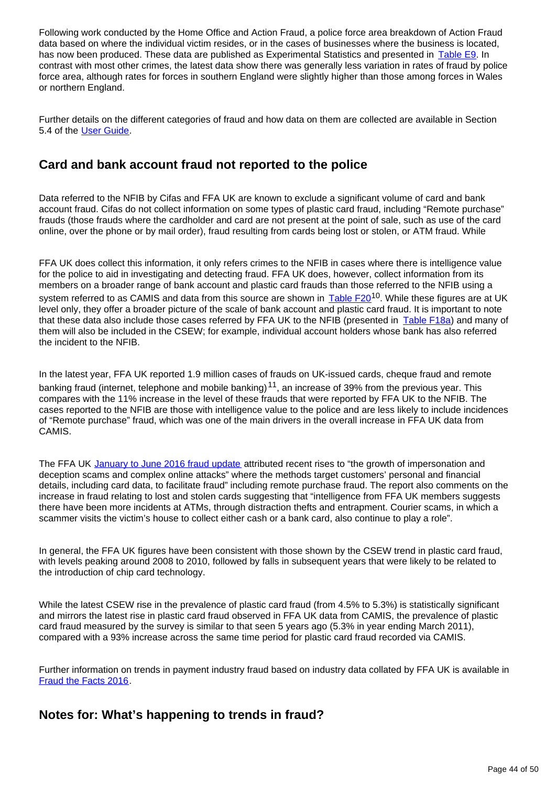Following work conducted by the Home Office and Action Fraud, a police force area breakdown of Action Fraud data based on where the individual victim resides, or in the cases of businesses where the business is located, has now been produced. These data are published as Experimental Statistics and presented in [Table E9](https://www.ons.gov.uk/peoplepopulationandcommunity/crimeandjustice/datasets/crimeinenglandandwalesexperimentaltables). In contrast with most other crimes, the latest data show there was generally less variation in rates of fraud by police force area, although rates for forces in southern England were slightly higher than those among forces in Wales or northern England.

Further details on the different categories of fraud and how data on them are collected are available in Section 5.4 of the [User Guide](http://www.ons.gov.uk/peoplepopulationandcommunity/crimeandjustice/methodologies/crimeandjusticemethodology).

#### **Card and bank account fraud not reported to the police**

Data referred to the NFIB by Cifas and FFA UK are known to exclude a significant volume of card and bank account fraud. Cifas do not collect information on some types of plastic card fraud, including "Remote purchase" frauds (those frauds where the cardholder and card are not present at the point of sale, such as use of the card online, over the phone or by mail order), fraud resulting from cards being lost or stolen, or ATM fraud. While

FFA UK does collect this information, it only refers crimes to the NFIB in cases where there is intelligence value for the police to aid in investigating and detecting fraud. FFA UK does, however, collect information from its members on a broader range of bank account and plastic card frauds than those referred to the NFIB using a system referred to as CAMIS and data from this source are shown in [Table F20](https://www.ons.gov.uk/peoplepopulationandcommunity/crimeandjustice/datasets/crimeinenglandandwalesbulletintables)<sup>10</sup>. While these figures are at UK level only, they offer a broader picture of the scale of bank account and plastic card fraud. It is important to note that these data also include those cases referred by FFA UK to the NFIB (presented in [Table F18a\)](https://www.ons.gov.uk/peoplepopulationandcommunity/crimeandjustice/datasets/crimeinenglandandwalesbulletintables) and many of them will also be included in the CSEW; for example, individual account holders whose bank has also referred the incident to the NFIB.

In the latest year, FFA UK reported 1.9 million cases of frauds on UK-issued cards, cheque fraud and remote banking fraud (internet, telephone and mobile banking)<sup>11</sup>, an increase of 39% from the previous year. This compares with the 11% increase in the level of these frauds that were reported by FFA UK to the NFIB. The cases reported to the NFIB are those with intelligence value to the police and are less likely to include incidences of "Remote purchase" fraud, which was one of the main drivers in the overall increase in FFA UK data from CAMIS.

The FFA UK [January to June 2016 fraud update](https://www.financialfraudaction.org.uk/wp-content/uploads/2016/07/October-2016-fraud-figures-bulletin-final.pdf) attributed recent rises to "the growth of impersonation and deception scams and complex online attacks" where the methods target customers' personal and financial details, including card data, to facilitate fraud" including remote purchase fraud. The report also comments on the increase in fraud relating to lost and stolen cards suggesting that "intelligence from FFA UK members suggests there have been more incidents at ATMs, through distraction thefts and entrapment. Courier scams, in which a scammer visits the victim's house to collect either cash or a bank card, also continue to play a role".

In general, the FFA UK figures have been consistent with those shown by the CSEW trend in plastic card fraud, with levels peaking around 2008 to 2010, followed by falls in subsequent years that were likely to be related to the introduction of chip card technology.

While the latest CSEW rise in the prevalence of plastic card fraud (from 4.5% to 5.3%) is statistically significant and mirrors the latest rise in plastic card fraud observed in FFA UK data from CAMIS, the prevalence of plastic card fraud measured by the survey is similar to that seen 5 years ago (5.3% in year ending March 2011), compared with a 93% increase across the same time period for plastic card fraud recorded via CAMIS.

Further information on trends in payment industry fraud based on industry data collated by FFA UK is available in [Fraud the Facts 2016](https://www.financialfraudaction.org.uk/wp-content/uploads/2016/07/Fraud-the-Facts-A5-final.pdf).

### **Notes for: What's happening to trends in fraud?**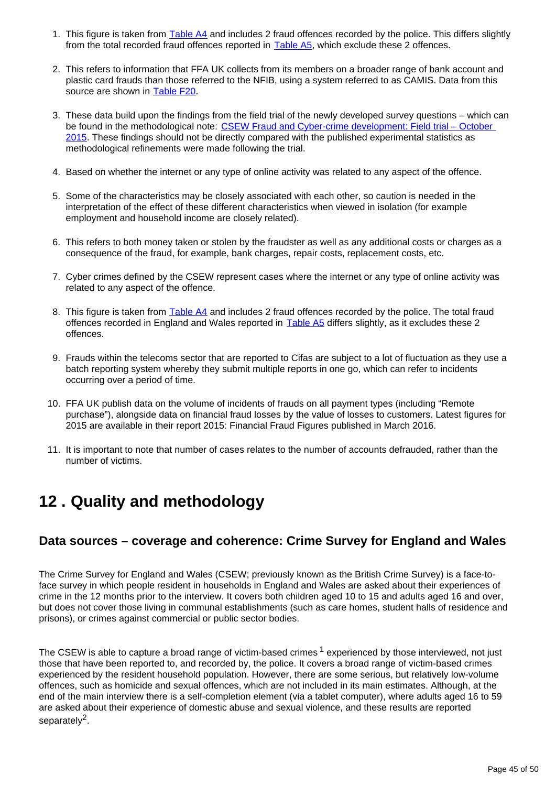- 1. This figure is taken from [Table A4](https://www.ons.gov.uk/peoplepopulationandcommunity/crimeandjustice/datasets/crimeinenglandandwalesappendixtables) and includes 2 fraud offences recorded by the police. This differs slightly from the total recorded fraud offences reported in [Table A5](https://www.ons.gov.uk/peoplepopulationandcommunity/crimeandjustice/datasets/crimeinenglandandwalesappendixtables), which exclude these 2 offences.
- 2. This refers to information that FFA UK collects from its members on a broader range of bank account and plastic card frauds than those referred to the NFIB, using a system referred to as CAMIS. Data from this source are shown in [Table F20.](https://www.ons.gov.uk/peoplepopulationandcommunity/crimeandjustice/datasets/crimeinenglandandwalesbulletintables)
- 3. These data build upon the findings from the field trial of the newly developed survey questions which can be found in the methodological note: CSEW Fraud and Cyber-crime development: Field trial – October [2015](http://www.ons.gov.uk/peoplepopulationandcommunity/crimeandjustice/methodologies/crimeandjusticemethodology#methodological-notes). These findings should not be directly compared with the published experimental statistics as methodological refinements were made following the trial.
- 4. Based on whether the internet or any type of online activity was related to any aspect of the offence.
- 5. Some of the characteristics may be closely associated with each other, so caution is needed in the interpretation of the effect of these different characteristics when viewed in isolation (for example employment and household income are closely related).
- 6. This refers to both money taken or stolen by the fraudster as well as any additional costs or charges as a consequence of the fraud, for example, bank charges, repair costs, replacement costs, etc.
- 7. Cyber crimes defined by the CSEW represent cases where the internet or any type of online activity was related to any aspect of the offence.
- 8. This figure is taken from [Table A4](https://www.ons.gov.uk/peoplepopulationandcommunity/crimeandjustice/datasets/crimeinenglandandwalesappendixtables) and includes 2 fraud offences recorded by the police. The total fraud offences recorded in England and Wales reported in [Table A5](https://www.ons.gov.uk/peoplepopulationandcommunity/crimeandjustice/datasets/crimeinenglandandwalesappendixtables) differs slightly, as it excludes these 2 offences.
- 9. Frauds within the telecoms sector that are reported to Cifas are subject to a lot of fluctuation as they use a batch reporting system whereby they submit multiple reports in one go, which can refer to incidents occurring over a period of time.
- 10. FFA UK publish data on the volume of incidents of frauds on all payment types (including "Remote purchase"), alongside data on financial fraud losses by the value of losses to customers. Latest figures for 2015 are available in their report 2015: Financial Fraud Figures published in March 2016.
- 11. It is important to note that number of cases relates to the number of accounts defrauded, rather than the number of victims.

## <span id="page-44-0"></span>**12 . Quality and methodology**

#### **Data sources – coverage and coherence: Crime Survey for England and Wales**

The Crime Survey for England and Wales (CSEW; previously known as the British Crime Survey) is a face-toface survey in which people resident in households in England and Wales are asked about their experiences of crime in the 12 months prior to the interview. It covers both children aged 10 to 15 and adults aged 16 and over, but does not cover those living in communal establishments (such as care homes, student halls of residence and prisons), or crimes against commercial or public sector bodies.

The CSEW is able to capture a broad range of victim-based crimes  $1$  experienced by those interviewed, not just those that have been reported to, and recorded by, the police. It covers a broad range of victim-based crimes experienced by the resident household population. However, there are some serious, but relatively low-volume offences, such as homicide and sexual offences, which are not included in its main estimates. Although, at the end of the main interview there is a self-completion element (via a tablet computer), where adults aged 16 to 59 are asked about their experience of domestic abuse and sexual violence, and these results are reported separately<sup>2</sup>.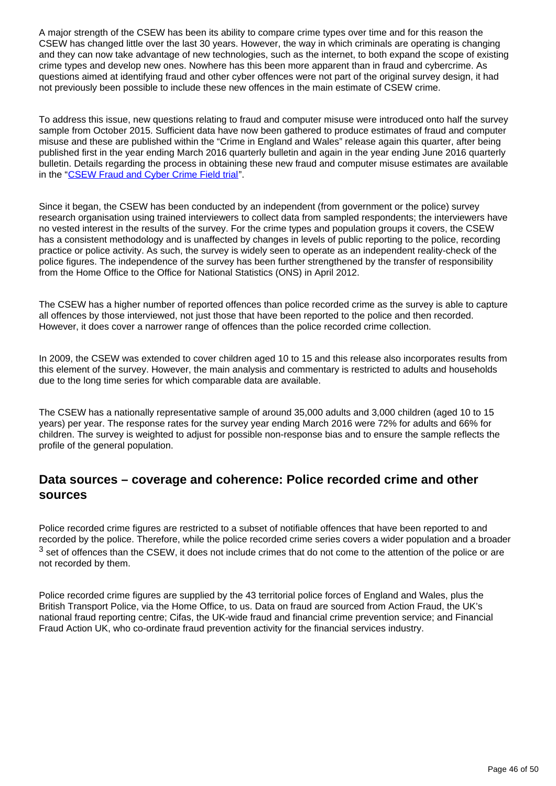A major strength of the CSEW has been its ability to compare crime types over time and for this reason the CSEW has changed little over the last 30 years. However, the way in which criminals are operating is changing and they can now take advantage of new technologies, such as the internet, to both expand the scope of existing crime types and develop new ones. Nowhere has this been more apparent than in fraud and cybercrime. As questions aimed at identifying fraud and other cyber offences were not part of the original survey design, it had not previously been possible to include these new offences in the main estimate of CSEW crime.

To address this issue, new questions relating to fraud and computer misuse were introduced onto half the survey sample from October 2015. Sufficient data have now been gathered to produce estimates of fraud and computer misuse and these are published within the "Crime in England and Wales" release again this quarter, after being published first in the year ending March 2016 quarterly bulletin and again in the year ending June 2016 quarterly bulletin. Details regarding the process in obtaining these new fraud and computer misuse estimates are available in the "[CSEW Fraud and Cyber Crime Field trial"](https://www.ons.gov.uk/peoplepopulationandcommunity/crimeandjustice/methodologies/crimeandjusticemethodology#methodological-notes).

Since it began, the CSEW has been conducted by an independent (from government or the police) survey research organisation using trained interviewers to collect data from sampled respondents; the interviewers have no vested interest in the results of the survey. For the crime types and population groups it covers, the CSEW has a consistent methodology and is unaffected by changes in levels of public reporting to the police, recording practice or police activity. As such, the survey is widely seen to operate as an independent reality-check of the police figures. The independence of the survey has been further strengthened by the transfer of responsibility from the Home Office to the Office for National Statistics (ONS) in April 2012.

The CSEW has a higher number of reported offences than police recorded crime as the survey is able to capture all offences by those interviewed, not just those that have been reported to the police and then recorded. However, it does cover a narrower range of offences than the police recorded crime collection.

In 2009, the CSEW was extended to cover children aged 10 to 15 and this release also incorporates results from this element of the survey. However, the main analysis and commentary is restricted to adults and households due to the long time series for which comparable data are available.

The CSEW has a nationally representative sample of around 35,000 adults and 3,000 children (aged 10 to 15 years) per year. The response rates for the survey year ending March 2016 were 72% for adults and 66% for children. The survey is weighted to adjust for possible non-response bias and to ensure the sample reflects the profile of the general population.

### **Data sources – coverage and coherence: Police recorded crime and other sources**

Police recorded crime figures are restricted to a subset of notifiable offences that have been reported to and recorded by the police. Therefore, while the police recorded crime series covers a wider population and a broader  $3$  set of offences than the CSEW, it does not include crimes that do not come to the attention of the police or are not recorded by them.

Police recorded crime figures are supplied by the 43 territorial police forces of England and Wales, plus the British Transport Police, via the Home Office, to us. Data on fraud are sourced from Action Fraud, the UK's national fraud reporting centre; Cifas, the UK-wide fraud and financial crime prevention service; and Financial Fraud Action UK, who co-ordinate fraud prevention activity for the financial services industry.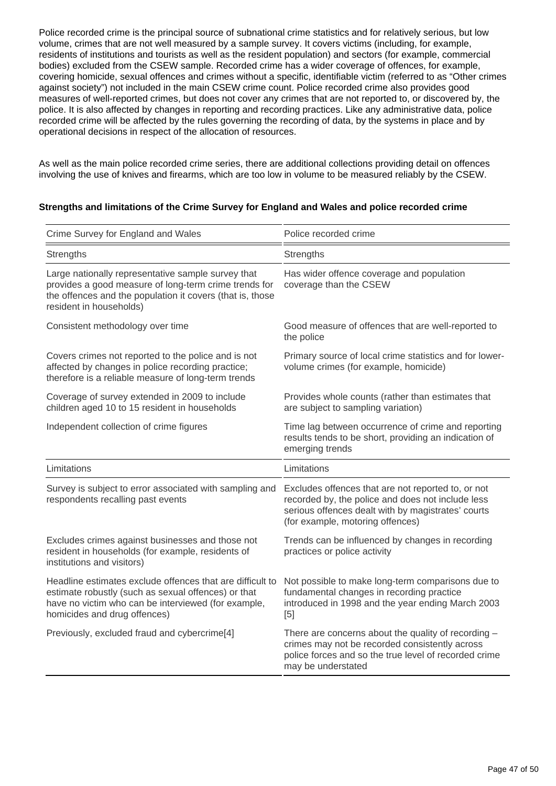Police recorded crime is the principal source of subnational crime statistics and for relatively serious, but low volume, crimes that are not well measured by a sample survey. It covers victims (including, for example, residents of institutions and tourists as well as the resident population) and sectors (for example, commercial bodies) excluded from the CSEW sample. Recorded crime has a wider coverage of offences, for example, covering homicide, sexual offences and crimes without a specific, identifiable victim (referred to as "Other crimes against society") not included in the main CSEW crime count. Police recorded crime also provides good measures of well-reported crimes, but does not cover any crimes that are not reported to, or discovered by, the police. It is also affected by changes in reporting and recording practices. Like any administrative data, police recorded crime will be affected by the rules governing the recording of data, by the systems in place and by operational decisions in respect of the allocation of resources.

As well as the main police recorded crime series, there are additional collections providing detail on offences involving the use of knives and firearms, which are too low in volume to be measured reliably by the CSEW.

#### **Strengths and limitations of the Crime Survey for England and Wales and police recorded crime**

| Crime Survey for England and Wales                                                                                                                                                                      | Police recorded crime                                                                                                                                                                             |  |  |  |
|---------------------------------------------------------------------------------------------------------------------------------------------------------------------------------------------------------|---------------------------------------------------------------------------------------------------------------------------------------------------------------------------------------------------|--|--|--|
| Strengths                                                                                                                                                                                               | Strengths                                                                                                                                                                                         |  |  |  |
| Large nationally representative sample survey that<br>provides a good measure of long-term crime trends for<br>the offences and the population it covers (that is, those<br>resident in households)     | Has wider offence coverage and population<br>coverage than the CSEW                                                                                                                               |  |  |  |
| Consistent methodology over time                                                                                                                                                                        | Good measure of offences that are well-reported to<br>the police                                                                                                                                  |  |  |  |
| Covers crimes not reported to the police and is not<br>affected by changes in police recording practice;<br>therefore is a reliable measure of long-term trends                                         | Primary source of local crime statistics and for lower-<br>volume crimes (for example, homicide)                                                                                                  |  |  |  |
| Coverage of survey extended in 2009 to include<br>children aged 10 to 15 resident in households                                                                                                         | Provides whole counts (rather than estimates that<br>are subject to sampling variation)                                                                                                           |  |  |  |
| Independent collection of crime figures                                                                                                                                                                 | Time lag between occurrence of crime and reporting<br>results tends to be short, providing an indication of<br>emerging trends                                                                    |  |  |  |
| Limitations                                                                                                                                                                                             | Limitations                                                                                                                                                                                       |  |  |  |
| Survey is subject to error associated with sampling and<br>respondents recalling past events                                                                                                            | Excludes offences that are not reported to, or not<br>recorded by, the police and does not include less<br>serious offences dealt with by magistrates' courts<br>(for example, motoring offences) |  |  |  |
| Excludes crimes against businesses and those not<br>resident in households (for example, residents of<br>institutions and visitors)                                                                     | Trends can be influenced by changes in recording<br>practices or police activity                                                                                                                  |  |  |  |
| Headline estimates exclude offences that are difficult to<br>estimate robustly (such as sexual offences) or that<br>have no victim who can be interviewed (for example,<br>homicides and drug offences) | Not possible to make long-term comparisons due to<br>fundamental changes in recording practice<br>introduced in 1998 and the year ending March 2003<br>[5]                                        |  |  |  |
| Previously, excluded fraud and cybercrime[4]                                                                                                                                                            | There are concerns about the quality of recording -<br>crimes may not be recorded consistently across<br>police forces and so the true level of recorded crime<br>may be understated              |  |  |  |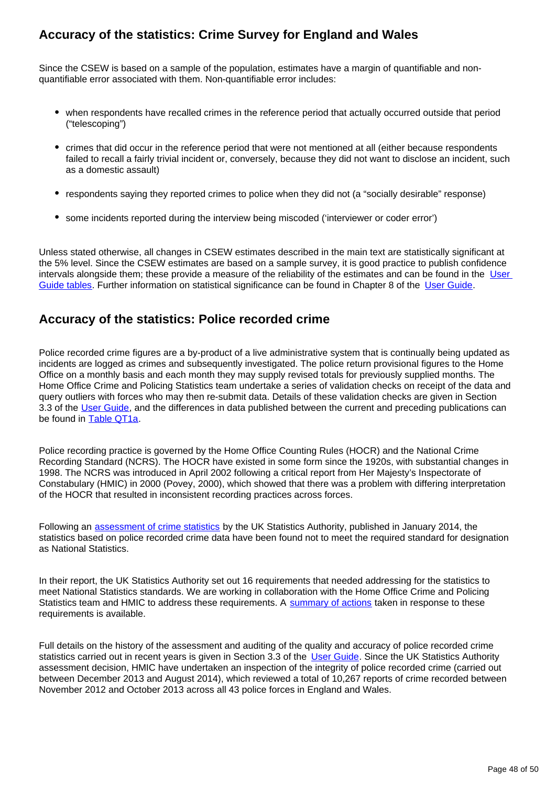### **Accuracy of the statistics: Crime Survey for England and Wales**

Since the CSEW is based on a sample of the population, estimates have a margin of quantifiable and nonquantifiable error associated with them. Non-quantifiable error includes:

- when respondents have recalled crimes in the reference period that actually occurred outside that period ("telescoping")
- crimes that did occur in the reference period that were not mentioned at all (either because respondents failed to recall a fairly trivial incident or, conversely, because they did not want to disclose an incident, such as a domestic assault)
- respondents saying they reported crimes to police when they did not (a "socially desirable" response)
- some incidents reported during the interview being miscoded ('interviewer or coder error')

Unless stated otherwise, all changes in CSEW estimates described in the main text are statistically significant at the 5% level. Since the CSEW estimates are based on a sample survey, it is good practice to publish confidence intervals alongside them; these provide a measure of the reliability of the estimates and can be found in the User [Guide tables.](http://www.ons.gov.uk/peoplepopulationandcommunity/crimeandjustice/methodologies/crimeandjusticemethodology) Further information on statistical significance can be found in Chapter 8 of the [User Guide](http://www.ons.gov.uk/peoplepopulationandcommunity/crimeandjustice/methodologies/crimeandjusticemethodology).

#### **Accuracy of the statistics: Police recorded crime**

Police recorded crime figures are a by-product of a live administrative system that is continually being updated as incidents are logged as crimes and subsequently investigated. The police return provisional figures to the Home Office on a monthly basis and each month they may supply revised totals for previously supplied months. The Home Office Crime and Policing Statistics team undertake a series of validation checks on receipt of the data and query outliers with forces who may then re-submit data. Details of these validation checks are given in Section 3.3 of the [User Guide](http://www.ons.gov.uk/peoplepopulationandcommunity/crimeandjustice/methodologies/crimeandjusticemethodology), and the differences in data published between the current and preceding publications can be found in [Table QT1a](https://www.ons.gov.uk/peoplepopulationandcommunity/crimeandjustice/datasets/crimeinenglandandwalesquarterlydatatables).

Police recording practice is governed by the Home Office Counting Rules (HOCR) and the National Crime Recording Standard (NCRS). The HOCR have existed in some form since the 1920s, with substantial changes in 1998. The NCRS was introduced in April 2002 following a critical report from Her Majesty's Inspectorate of Constabulary (HMIC) in 2000 (Povey, 2000), which showed that there was a problem with differing interpretation of the HOCR that resulted in inconsistent recording practices across forces.

Following an [assessment of crime statistics](http://www.statisticsauthority.gov.uk/assessment/assessment/assessment-reports/assessment-report-268---statistics-on-crime-in-england-and-wales.pdf) by the UK Statistics Authority, published in January 2014, the statistics based on police recorded crime data have been found not to meet the required standard for designation as National Statistics.

In their report, the UK Statistics Authority set out 16 requirements that needed addressing for the statistics to meet National Statistics standards. We are working in collaboration with the Home Office Crime and Policing Statistics team and HMIC to address these requirements. A [summary of actions](https://www.ons.gov.uk/peoplepopulationandcommunity/crimeandjustice/methodologies/crimeandjusticemethodology) taken in response to these requirements is available.

Full details on the history of the assessment and auditing of the quality and accuracy of police recorded crime statistics carried out in recent years is given in Section 3.3 of the [User Guide.](http://www.ons.gov.uk/peoplepopulationandcommunity/crimeandjustice/methodologies/crimeandjusticemethodology) Since the UK Statistics Authority assessment decision, HMIC have undertaken an inspection of the integrity of police recorded crime (carried out between December 2013 and August 2014), which reviewed a total of 10,267 reports of crime recorded between November 2012 and October 2013 across all 43 police forces in England and Wales.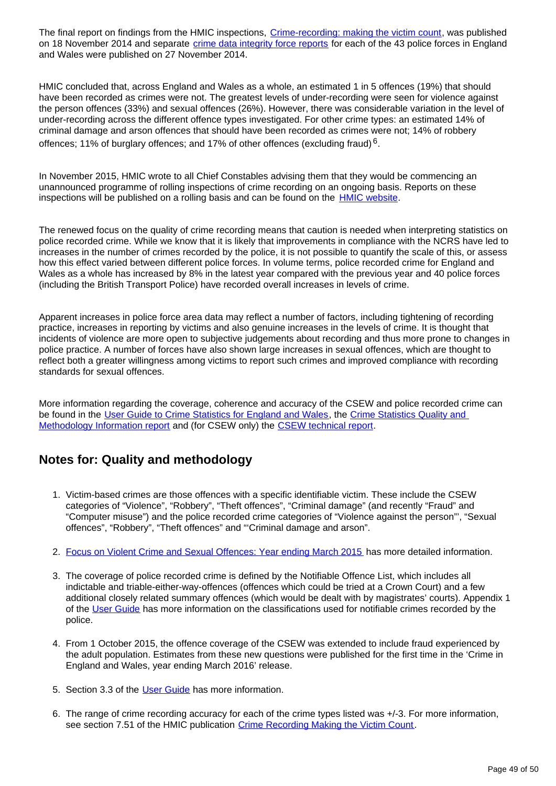The final report on findings from the HMIC inspections, [Crime-recording: making the victim count](https://www.justiceinspectorates.gov.uk/hmic/publication/crime-recording-making-the-victim-count/), was published on 18 November 2014 and separate [crime data integrity force reports](https://www.justiceinspectorates.gov.uk/hmic/publication/crime-data-integrity-force-reports/) for each of the 43 police forces in England and Wales were published on 27 November 2014.

HMIC concluded that, across England and Wales as a whole, an estimated 1 in 5 offences (19%) that should have been recorded as crimes were not. The greatest levels of under-recording were seen for violence against the person offences (33%) and sexual offences (26%). However, there was considerable variation in the level of under-recording across the different offence types investigated. For other crime types: an estimated 14% of criminal damage and arson offences that should have been recorded as crimes were not; 14% of robbery offences; 11% of burglary offences; and 17% of other offences (excluding fraud)  $^6$ .

In November 2015, HMIC wrote to all Chief Constables advising them that they would be commencing an unannounced programme of rolling inspections of crime recording on an ongoing basis. Reports on these inspections will be published on a rolling basis and can be found on the **[HMIC website](https://www.justiceinspectorates.gov.uk/hmic/publications/rolling-cdi-programme-reports/)**.

The renewed focus on the quality of crime recording means that caution is needed when interpreting statistics on police recorded crime. While we know that it is likely that improvements in compliance with the NCRS have led to increases in the number of crimes recorded by the police, it is not possible to quantify the scale of this, or assess how this effect varied between different police forces. In volume terms, police recorded crime for England and Wales as a whole has increased by 8% in the latest year compared with the previous year and 40 police forces (including the British Transport Police) have recorded overall increases in levels of crime.

Apparent increases in police force area data may reflect a number of factors, including tightening of recording practice, increases in reporting by victims and also genuine increases in the levels of crime. It is thought that incidents of violence are more open to subjective judgements about recording and thus more prone to changes in police practice. A number of forces have also shown large increases in sexual offences, which are thought to reflect both a greater willingness among victims to report such crimes and improved compliance with recording standards for sexual offences.

More information regarding the coverage, coherence and accuracy of the CSEW and police recorded crime can be found in the [User Guide to Crime Statistics for England and Wales](http://www.ons.gov.uk/peoplepopulationandcommunity/crimeandjustice/methodologies/crimeandjusticemethodology), the Crime Statistics Quality and [Methodology Information report](http://www.ons.gov.uk/peoplepopulationandcommunity/crimeandjustice/qmis/crimeandjusticeqmi) and (for CSEW only) the [CSEW technical report.](http://www.ons.gov.uk/peoplepopulationandcommunity/crimeandjustice/methodologies/crimeandjusticemethodology)

### **Notes for: Quality and methodology**

- 1. Victim-based crimes are those offences with a specific identifiable victim. These include the CSEW categories of "Violence", "Robbery", "Theft offences", "Criminal damage" (and recently "Fraud" and "Computer misuse") and the police recorded crime categories of "Violence against the person"', "Sexual offences", "Robbery", "Theft offences" and "'Criminal damage and arson".
- 2. [Focus on Violent Crime and Sexual Offences: Year ending March 2015](http://www.ons.gov.uk/peoplepopulationandcommunity/crimeandjustice/compendium/focusonviolentcrimeandsexualoffences/yearendingmarch2015) has more detailed information.
- 3. The coverage of police recorded crime is defined by the Notifiable Offence List, which includes all indictable and triable-either-way-offences (offences which could be tried at a Crown Court) and a few additional closely related summary offences (which would be dealt with by magistrates' courts). Appendix 1 of the [User Guide](http://www.ons.gov.uk/peoplepopulationandcommunity/crimeandjustice/methodologies/crimeandjusticemethodology) has more information on the classifications used for notifiable crimes recorded by the police.
- 4. From 1 October 2015, the offence coverage of the CSEW was extended to include fraud experienced by the adult population. Estimates from these new questions were published for the first time in the 'Crime in England and Wales, year ending March 2016' release.
- 5. Section 3.3 of the [User Guide](http://www.ons.gov.uk/peoplepopulationandcommunity/crimeandjustice/methodologies/crimeandjusticemethodology) has more information.
- 6. The range of crime recording accuracy for each of the crime types listed was +/-3. For more information, see section 7.51 of the HMIC publication [Crime Recording Making the Victim Count.](https://www.justiceinspectorates.gov.uk/hmic/publications/crime-recording-making-the-victim-count/)